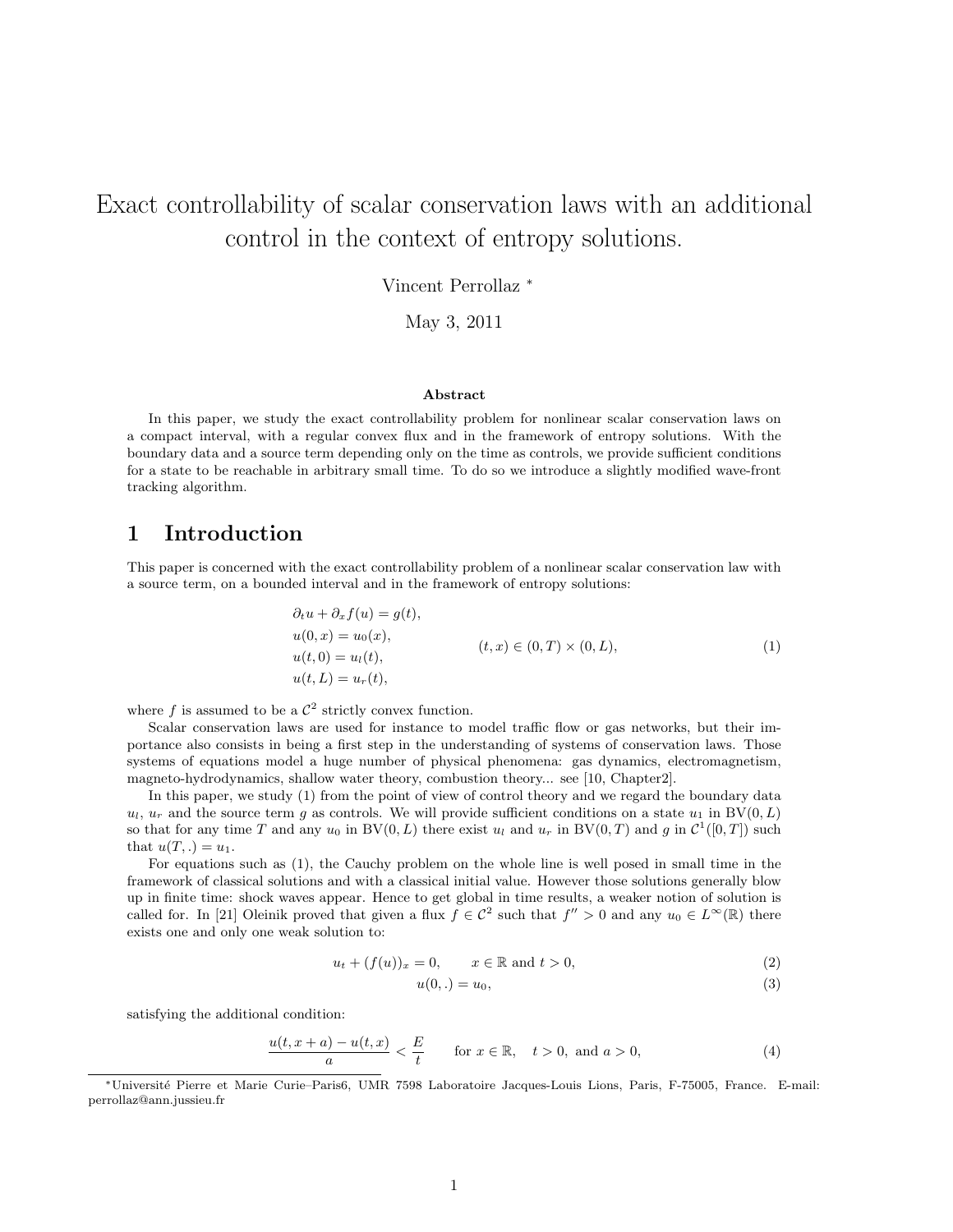# Exact controllability of scalar conservation laws with an additional control in the context of entropy solutions.

Vincent Perrollaz <sup>∗</sup>

May 3, 2011

#### Abstract

In this paper, we study the exact controllability problem for nonlinear scalar conservation laws on a compact interval, with a regular convex flux and in the framework of entropy solutions. With the boundary data and a source term depending only on the time as controls, we provide sufficient conditions for a state to be reachable in arbitrary small time. To do so we introduce a slightly modified wave-front tracking algorithm.

#### 1 Introduction

This paper is concerned with the exact controllability problem of a nonlinear scalar conservation law with a source term, on a bounded interval and in the framework of entropy solutions:

$$
\partial_t u + \partial_x f(u) = g(t),
$$
  
\n
$$
u(0, x) = u_0(x),
$$
  
\n
$$
u(t, 0) = u_1(t),
$$
  
\n
$$
u(t, L) = u_r(t),
$$
  
\n
$$
(1)
$$

where f is assumed to be a  $\mathcal{C}^2$  strictly convex function.

Scalar conservation laws are used for instance to model traffic flow or gas networks, but their importance also consists in being a first step in the understanding of systems of conservation laws. Those systems of equations model a huge number of physical phenomena: gas dynamics, electromagnetism, magneto-hydrodynamics, shallow water theory, combustion theory... see [10, Chapter2].

In this paper, we study (1) from the point of view of control theory and we regard the boundary data  $u_l$ ,  $u_r$  and the source term g as controls. We will provide sufficient conditions on a state  $u_1$  in BV $(0, L)$ so that for any time T and any  $u_0$  in BV $(0, L)$  there exist  $u_l$  and  $u_r$  in BV $(0, T)$  and g in  $\mathcal{C}^1([0, T])$  such that  $u(T,.) = u_1$ .

For equations such as (1), the Cauchy problem on the whole line is well posed in small time in the framework of classical solutions and with a classical initial value. However those solutions generally blow up in finite time: shock waves appear. Hence to get global in time results, a weaker notion of solution is called for. In [21] Oleinik proved that given a flux  $f \in C^2$  such that  $f'' > 0$  and any  $u_0 \in L^{\infty}(\mathbb{R})$  there exists one and only one weak solution to:

$$
u_t + (f(u))_x = 0, \qquad x \in \mathbb{R} \text{ and } t > 0,
$$
\n
$$
(2)
$$

$$
u(0,.) = u_0,\tag{3}
$$

satisfying the additional condition:

$$
\frac{u(t, x+a) - u(t, x)}{a} < \frac{E}{t} \qquad \text{for } x \in \mathbb{R}, \quad t > 0, \text{ and } a > 0,\tag{4}
$$

<sup>∗</sup>Universit´e Pierre et Marie Curie–Paris6, UMR 7598 Laboratoire Jacques-Louis Lions, Paris, F-75005, France. E-mail: perrollaz@ann.jussieu.fr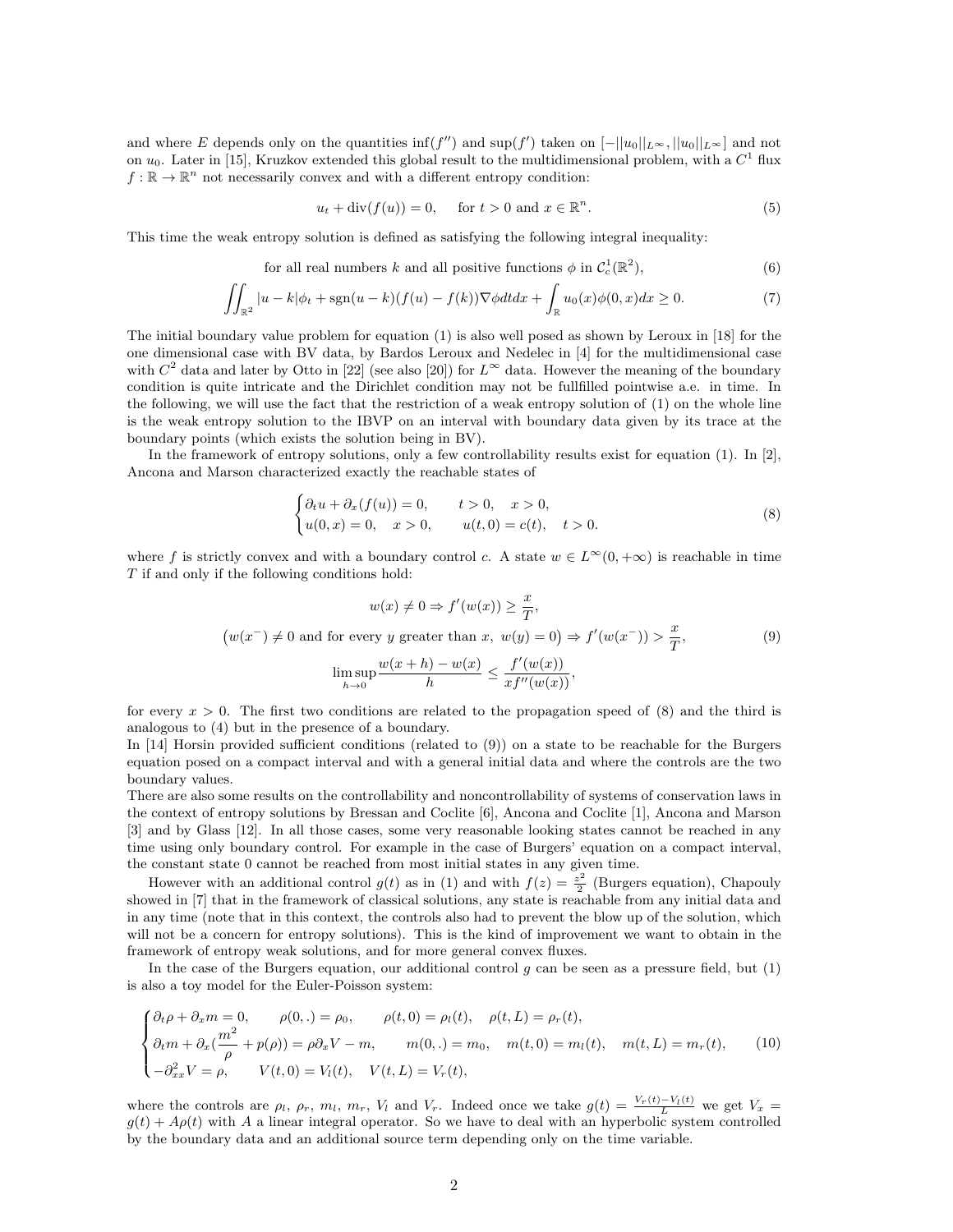and where E depends only on the quantities  $\inf(f'')$  and  $\sup(f')$  taken on  $[-||u_0||_{L^{\infty}}, ||u_0||_{L^{\infty}}]$  and not on  $u_0$ . Later in [15], Kruzkov extended this global result to the multidimensional problem, with a  $C^1$  flux  $f: \mathbb{R} \to \mathbb{R}^n$  not necessarily convex and with a different entropy condition:

$$
u_t + \operatorname{div}(f(u)) = 0, \quad \text{for } t > 0 \text{ and } x \in \mathbb{R}^n.
$$
 (5)

This time the weak entropy solution is defined as satisfying the following integral inequality:

for all real numbers k and all positive functions 
$$
\phi
$$
 in  $\mathcal{C}_c^1(\mathbb{R}^2)$ ,  $(6)$ 

$$
\iint_{\mathbb{R}^2} |u - k| \phi_t + \text{sgn}(u - k)(f(u) - f(k)) \nabla \phi dt dx + \int_{\mathbb{R}} u_0(x) \phi(0, x) dx \ge 0.
$$
 (7)

The initial boundary value problem for equation (1) is also well posed as shown by Leroux in [18] for the one dimensional case with BV data, by Bardos Leroux and Nedelec in [4] for the multidimensional case with  $C^2$  data and later by Otto in [22] (see also [20]) for  $L^\infty$  data. However the meaning of the boundary condition is quite intricate and the Dirichlet condition may not be fullfilled pointwise a.e. in time. In the following, we will use the fact that the restriction of a weak entropy solution of (1) on the whole line is the weak entropy solution to the IBVP on an interval with boundary data given by its trace at the boundary points (which exists the solution being in BV).

In the framework of entropy solutions, only a few controllability results exist for equation (1). In [2], Ancona and Marson characterized exactly the reachable states of

$$
\begin{cases} \partial_t u + \partial_x (f(u)) = 0, & t > 0, \quad x > 0, \\ u(0, x) = 0, & x > 0, \quad u(t, 0) = c(t), & t > 0. \end{cases}
$$
 (8)

where f is strictly convex and with a boundary control c. A state  $w \in L^{\infty}(0, +\infty)$  is reachable in time T if and only if the following conditions hold:

$$
w(x) \neq 0 \Rightarrow f'(w(x)) \geq \frac{x}{T},
$$
  

$$
(w(x^-) \neq 0 \text{ and for every } y \text{ greater than } x, w(y) = 0) \Rightarrow f'(w(x^-)) > \frac{x}{T},
$$
  

$$
\limsup_{h \to 0} \frac{w(x+h) - w(x)}{h} \leq \frac{f'(w(x))}{xf''(w(x))},
$$
  
(9)

for every  $x > 0$ . The first two conditions are related to the propagation speed of (8) and the third is analogous to (4) but in the presence of a boundary.

In [14] Horsin provided sufficient conditions (related to (9)) on a state to be reachable for the Burgers equation posed on a compact interval and with a general initial data and where the controls are the two boundary values.

There are also some results on the controllability and noncontrollability of systems of conservation laws in the context of entropy solutions by Bressan and Coclite [6], Ancona and Coclite [1], Ancona and Marson [3] and by Glass [12]. In all those cases, some very reasonable looking states cannot be reached in any time using only boundary control. For example in the case of Burgers' equation on a compact interval, the constant state 0 cannot be reached from most initial states in any given time.

However with an additional control  $g(t)$  as in (1) and with  $f(z) = \frac{z^2}{2}$  $\frac{z^2}{2}$  (Burgers equation), Chapouly showed in [7] that in the framework of classical solutions, any state is reachable from any initial data and in any time (note that in this context, the controls also had to prevent the blow up of the solution, which will not be a concern for entropy solutions). This is the kind of improvement we want to obtain in the framework of entropy weak solutions, and for more general convex fluxes.

In the case of the Burgers equation, our additional control  $g$  can be seen as a pressure field, but  $(1)$ is also a toy model for the Euler-Poisson system:

$$
\begin{cases} \partial_t \rho + \partial_x m = 0, & \rho(0,.) = \rho_0, & \rho(t,0) = \rho_l(t), & \rho(t, L) = \rho_r(t), \\ \partial_t m + \partial_x (\frac{m^2}{\rho} + p(\rho)) = \rho \partial_x V - m, & m(0,.) = m_0, & m(t,0) = m_l(t), & m(t, L) = m_r(t), \\ -\partial_{xx}^2 V = \rho, & V(t,0) = V_l(t), & V(t, L) = V_r(t), \end{cases}
$$
(10)

where the controls are  $\rho_l$ ,  $\rho_r$ ,  $m_l$ ,  $m_r$ ,  $V_l$  and  $V_r$ . Indeed once we take  $g(t) = \frac{V_r(t)-V_l(t)}{L}$  we get  $V_x$  $g(t) + A\rho(t)$  with A a linear integral operator. So we have to deal with an hyperbolic system controlled by the boundary data and an additional source term depending only on the time variable.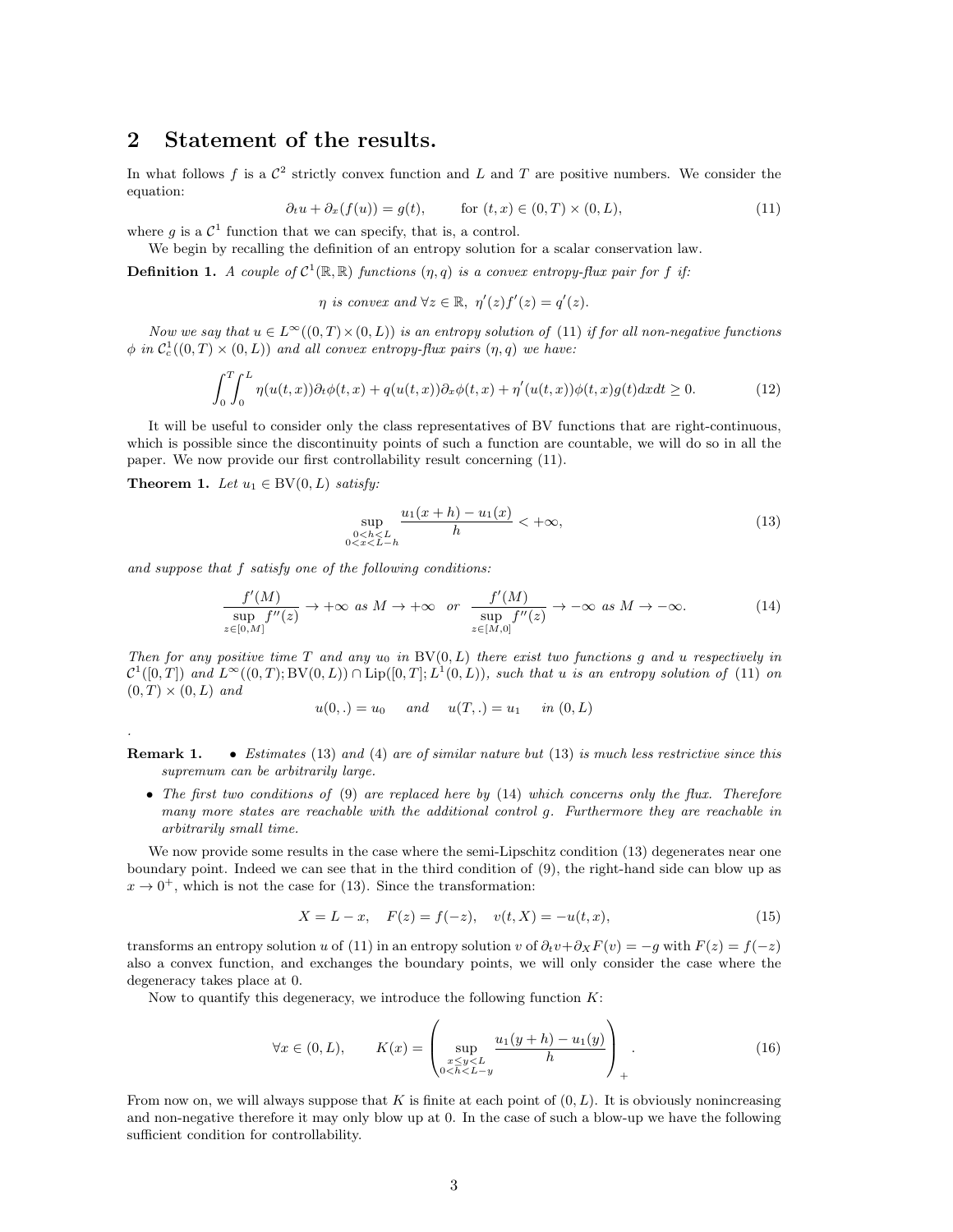### 2 Statement of the results.

In what follows f is a  $\mathcal{C}^2$  strictly convex function and L and T are positive numbers. We consider the equation:

$$
\partial_t u + \partial_x(f(u)) = g(t), \qquad \text{for } (t, x) \in (0, T) \times (0, L), \tag{11}
$$

where g is a  $\mathcal{C}^1$  function that we can specify, that is, a control.

We begin by recalling the definition of an entropy solution for a scalar conservation law.

**Definition 1.** A couple of  $C^1(\mathbb{R}, \mathbb{R})$  functions  $(\eta, q)$  is a convex entropy-flux pair for f if:

$$
\eta
$$
 is convex and  $\forall z \in \mathbb{R}, \ \eta'(z)f'(z) = q'(z).$ 

Now we say that  $u \in L^{\infty}((0,T) \times (0,L))$  is an entropy solution of (11) if for all non-negative functions  $\phi$  in  $C_c^1((0,T) \times (0,L))$  and all convex entropy-flux pairs  $(\eta, q)$  we have:

$$
\int_0^T \int_0^L \eta(u(t,x))\partial_t \phi(t,x) + q(u(t,x))\partial_x \phi(t,x) + \eta'(u(t,x))\phi(t,x)g(t)dxdt \ge 0.
$$
 (12)

It will be useful to consider only the class representatives of BV functions that are right-continuous, which is possible since the discontinuity points of such a function are countable, we will do so in all the paper. We now provide our first controllability result concerning (11).

Theorem 1. Let  $u_1 \in BV(0, L)$  satisfy:

.

$$
\sup_{\substack{0 < h < L \\ 0 < h < L - h}} \frac{u_1(x+h) - u_1(x)}{h} < +\infty,\tag{13}
$$

and suppose that f satisfy one of the following conditions:

$$
\frac{f'(M)}{\sup_{z\in[0,M]}f''(z)} \to +\infty \text{ as } M \to +\infty \text{ or } \frac{f'(M)}{\sup_{z\in[M,0]}f''(z)} \to -\infty \text{ as } M \to -\infty.
$$
 (14)

Then for any positive time T and any  $u_0$  in BV(0, L) there exist two functions g and u respectively in  $\mathcal{C}^1([0,T])$  and  $L^{\infty}((0,T); \mathrm{BV}(0,L)) \cap \mathrm{Lip}([0,T]; L^1(0,L))$ , such that u is an entropy solution of (11) on  $(0, T) \times (0, L)$  and

$$
u(0,.) = u_0
$$
 and  $u(T,.) = u_1$  in  $(0,L)$ 

**Remark 1.** • Estimates (13) and (4) are of similar nature but (13) is much less restrictive since this supremum can be arbitrarily large.

• The first two conditions of  $(9)$  are replaced here by  $(14)$  which concerns only the flux. Therefore many more states are reachable with the additional control g. Furthermore they are reachable in arbitrarily small time.

We now provide some results in the case where the semi-Lipschitz condition  $(13)$  degenerates near one boundary point. Indeed we can see that in the third condition of (9), the right-hand side can blow up as  $x \to 0^+$ , which is not the case for (13). Since the transformation:

$$
X = L - x, \quad F(z) = f(-z), \quad v(t, X) = -u(t, x), \tag{15}
$$

transforms an entropy solution u of (11) in an entropy solution v of  $\partial_t v + \partial_X F(v) = -g$  with  $F(z) = f(-z)$ also a convex function, and exchanges the boundary points, we will only consider the case where the degeneracy takes place at 0.

Now to quantify this degeneracy, we introduce the following function  $K$ :

$$
\forall x \in (0, L), \qquad K(x) = \left( \sup_{\substack{x \le y < L \\ 0 < h < L - y}} \frac{u_1(y + h) - u_1(y)}{h} \right)_+ . \tag{16}
$$

From now on, we will always suppose that K is finite at each point of  $(0, L)$ . It is obviously nonincreasing and non-negative therefore it may only blow up at 0. In the case of such a blow-up we have the following sufficient condition for controllability.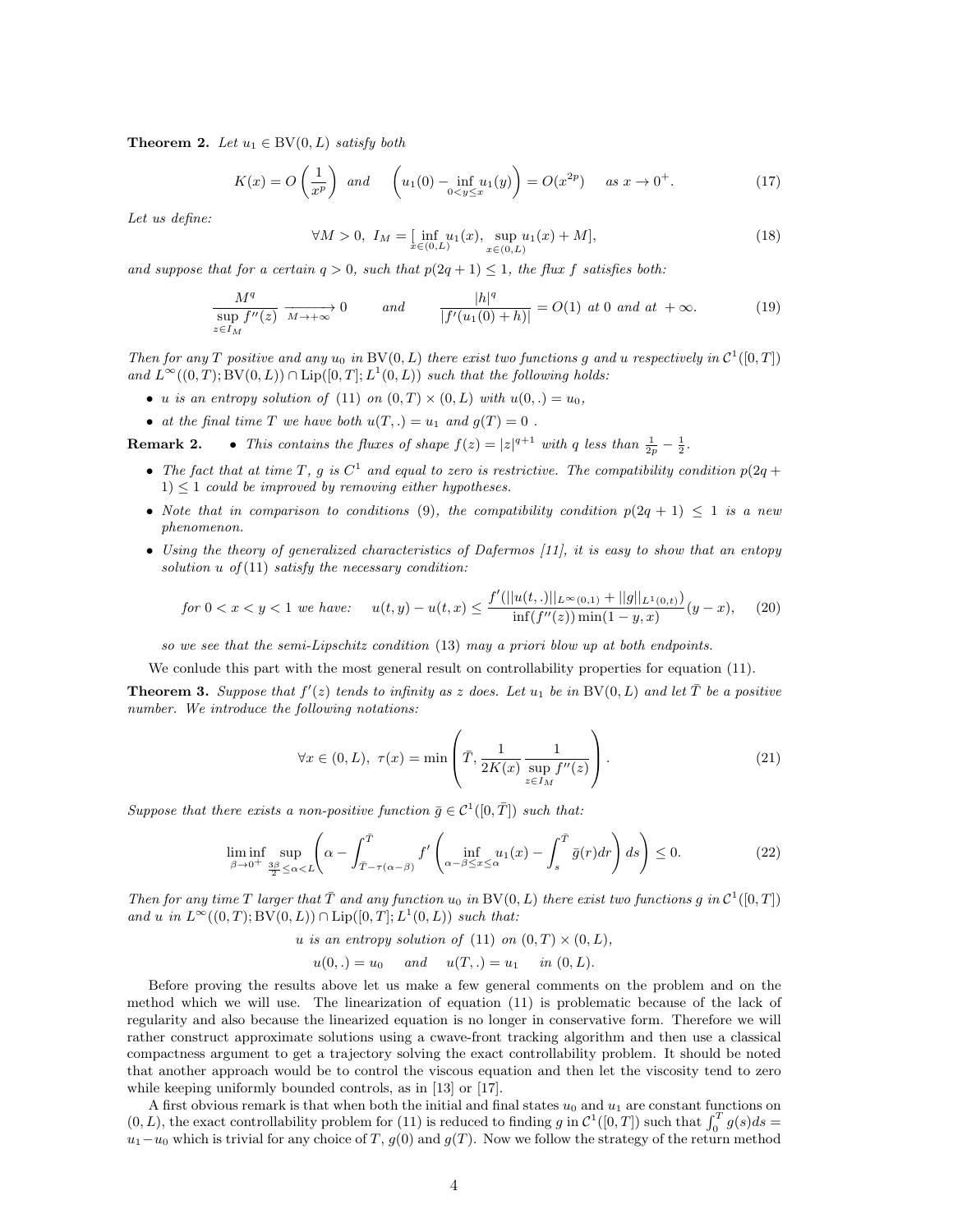**Theorem 2.** Let  $u_1 \in BV(0, L)$  satisfy both

$$
K(x) = O\left(\frac{1}{x^p}\right) \quad \text{and} \quad \left(u_1(0) - \inf_{0 < y \le x} u_1(y)\right) = O(x^{2p}) \quad \text{as } x \to 0^+. \tag{17}
$$

Let us define:

$$
\forall M > 0, \ I_M = \left[ \inf_{x \in (0,L)} u_1(x), \sup_{x \in (0,L)} u_1(x) + M \right], \tag{18}
$$

and suppose that for a certain  $q > 0$ , such that  $p(2q + 1) \leq 1$ , the flux f satisfies both:

$$
\frac{M^q}{\sup_{z \in I_M} f''(z)} \xrightarrow[M \to +\infty]{} 0 \qquad \text{and} \qquad \frac{|h|^q}{|f'(u_1(0) + h)|} = O(1) \text{ at } 0 \text{ and at } +\infty. \tag{19}
$$

Then for any T positive and any  $u_0$  in BV(0, L) there exist two functions g and u respectively in  $\mathcal{C}^1([0,T])$ and  $L^{\infty}((0,T);$  BV $(0,L)) \cap Lip([0,T]; L^{1}(0,L))$  such that the following holds:

- u is an entropy solution of (11) on  $(0, T) \times (0, L)$  with  $u(0, .) = u_0$ ,
- at the final time T we have both  $u(T,.) = u_1$  and  $g(T) = 0$ .

**Remark 2.** • This contains the fluxes of shape  $f(z) = |z|^{q+1}$  with q less than  $\frac{1}{2p} - \frac{1}{2}$ .

- The fact that at time T, g is  $C^1$  and equal to zero is restrictive. The compatibility condition  $p(2q +$  $1) \leq 1$  could be improved by removing either hypotheses.
- Note that in comparison to conditions (9), the compatibility condition  $p(2q + 1) \leq 1$  is a new phenomenon.
- Using the theory of generalized characteristics of Dafermos [11], it is easy to show that an entopy solution  $u$  of  $(11)$  satisfy the necessary condition:

$$
\text{for } 0 < x < y < 1 \text{ we have:} \qquad u(t, y) - u(t, x) \le \frac{f'(\|u(t, .)\|_{L^{\infty}(0, 1)} + \|g\|_{L^{1}(0, t)})}{\inf(f''(z)) \min(1 - y, x)} (y - x), \tag{20}
$$

so we see that the semi-Lipschitz condition (13) may a priori blow up at both endpoints.

We conlude this part with the most general result on controllability properties for equation (11).

**Theorem 3.** Suppose that  $f'(z)$  tends to infinity as z does. Let  $u_1$  be in BV(0, L) and let  $\overline{T}$  be a positive number. We introduce the following notations:

$$
\forall x \in (0, L), \ \tau(x) = \min\left(\bar{T}, \frac{1}{2K(x)} \frac{1}{\sup_{z \in I_M} f''(z)}\right). \tag{21}
$$

Suppose that there exists a non-positive function  $\bar{g} \in C^1([0, \bar{T}])$  such that:

$$
\liminf_{\beta \to 0^+} \sup_{\frac{3\beta}{2} \le \alpha < L} \left( \alpha - \int_{\bar{T} - \tau(\alpha - \beta)}^{\bar{T}} f' \left( \inf_{\alpha - \beta \le x \le \alpha} u_1(x) - \int_s^{\bar{T}} \bar{g}(r) dr \right) ds \right) \le 0. \tag{22}
$$

Then for any time T larger that  $\overline{T}$  and any function  $u_0$  in BV(0, L) there exist two functions g in  $\mathcal{C}^1([0,T])$ and u in  $L^{\infty}((0,T);BV(0,L)) \cap Lip([0,T];L^1(0,L))$  such that:

u is an entropy solution of (11) on  $(0, T) \times (0, L)$ ,

$$
u(0,.) = u_0
$$
 and  $u(T,.) = u_1$  in  $(0,L)$ .

Before proving the results above let us make a few general comments on the problem and on the method which we will use. The linearization of equation (11) is problematic because of the lack of regularity and also because the linearized equation is no longer in conservative form. Therefore we will rather construct approximate solutions using a cwave-front tracking algorithm and then use a classical compactness argument to get a trajectory solving the exact controllability problem. It should be noted that another approach would be to control the viscous equation and then let the viscosity tend to zero while keeping uniformly bounded controls, as in [13] or [17].

A first obvious remark is that when both the initial and final states  $u_0$  and  $u_1$  are constant functions on  $(0, L)$ , the exact controllability problem for (11) is reduced to finding g in  $\mathcal{C}^1([0, T])$  such that  $\int_0^T g(s)ds =$  $u_1-u_0$  which is trivial for any choice of T,  $g(0)$  and  $g(T)$ . Now we follow the strategy of the return method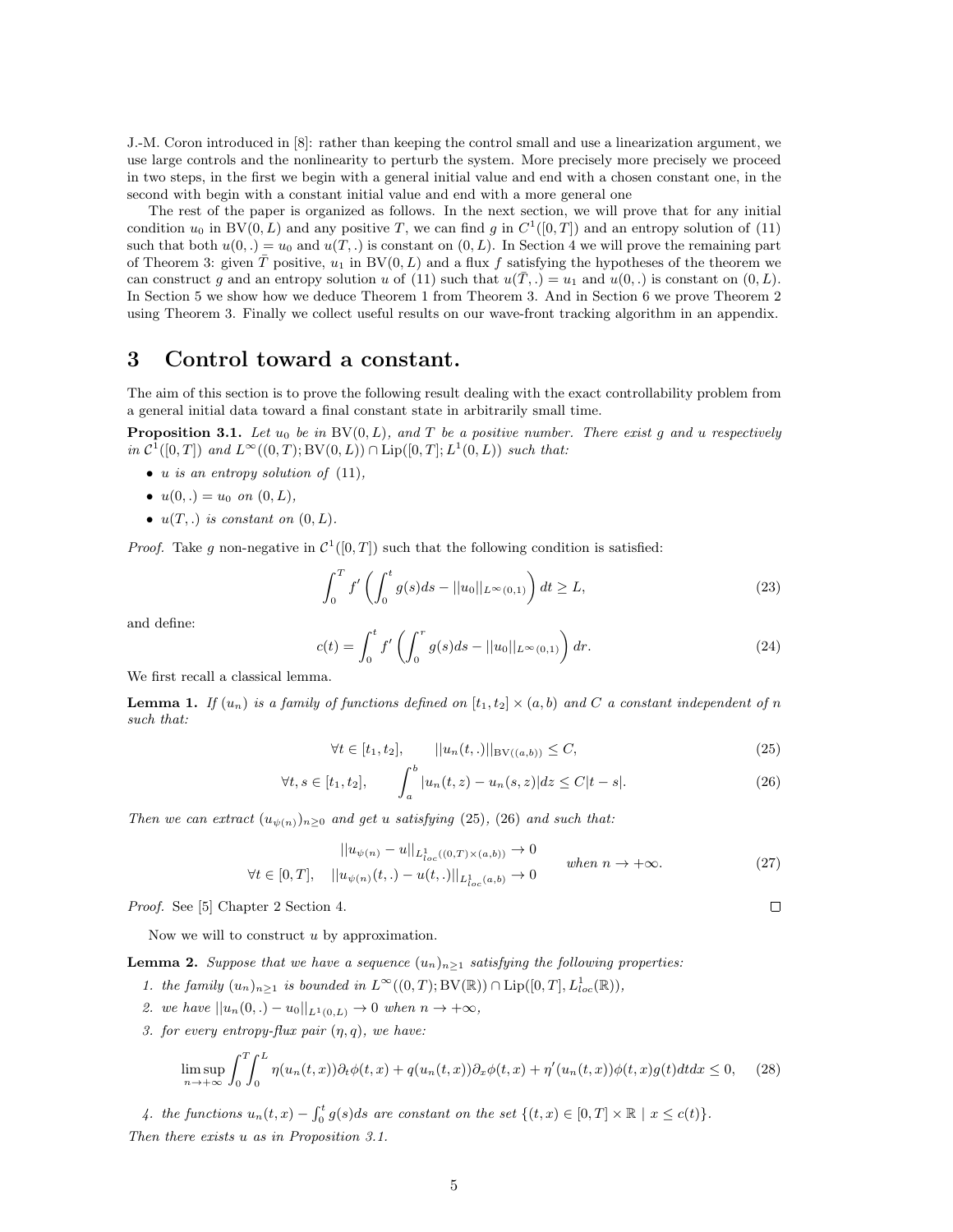J.-M. Coron introduced in [8]: rather than keeping the control small and use a linearization argument, we use large controls and the nonlinearity to perturb the system. More precisely more precisely we proceed in two steps, in the first we begin with a general initial value and end with a chosen constant one, in the second with begin with a constant initial value and end with a more general one

The rest of the paper is organized as follows. In the next section, we will prove that for any initial condition  $u_0$  in BV $(0, L)$  and any positive T, we can find g in  $C^1([0, T])$  and an entropy solution of  $(11)$ such that both  $u(0,.) = u_0$  and  $u(T,.)$  is constant on  $(0, L)$ . In Section 4 we will prove the remaining part of Theorem 3: given  $\overline{T}$  positive,  $u_1$  in BV(0, L) and a flux f satisfying the hypotheses of the theorem we can construct g and an entropy solution u of (11) such that  $u(\overline{T},.) = u_1$  and  $u(0,.)$  is constant on  $(0,L)$ . In Section 5 we show how we deduce Theorem 1 from Theorem 3. And in Section 6 we prove Theorem 2 using Theorem 3. Finally we collect useful results on our wave-front tracking algorithm in an appendix.

### 3 Control toward a constant.

The aim of this section is to prove the following result dealing with the exact controllability problem from a general initial data toward a final constant state in arbitrarily small time.

**Proposition 3.1.** Let  $u_0$  be in  $BV(0, L)$ , and T be a positive number. There exist g and u respectively in  $\mathcal{C}^1([0,T])$  and  $L^{\infty}((0,T);BV(0,L)) \cap \text{Lip}([0,T];L^1(0,L))$  such that:

- u is an entropy solution of  $(11)$ ,
- $u(0,.) = u_0$  on  $(0, L)$ ,
- $u(T,.)$  is constant on  $(0,L)$ .

*Proof.* Take g non-negative in  $C^1([0,T])$  such that the following condition is satisfied:

$$
\int_0^T f'\left(\int_0^t g(s)ds - ||u_0||_{L^\infty(0,1)}\right) dt \ge L,\tag{23}
$$

and define:

$$
c(t) = \int_0^t f'\left(\int_0^r g(s)ds - ||u_0||_{L^\infty(0,1)}\right) dr.
$$
 (24)

We first recall a classical lemma.

**Lemma 1.** If  $(u_n)$  is a family of functions defined on  $[t_1, t_2] \times (a, b)$  and C a constant independent of n such that:

$$
\forall t \in [t_1, t_2], \qquad ||u_n(t, .)||_{BV((a, b))} \le C,\tag{25}
$$

$$
\forall t, s \in [t_1, t_2], \qquad \int_a^b |u_n(t, z) - u_n(s, z)| dz \le C|t - s|.
$$
 (26)

Then we can extract  $(u_{\psi(n)})_{n\geq 0}$  and get u satisfying (25), (26) and such that:

$$
||u_{\psi(n)} - u||_{L_{loc}^{1}((0,T)\times(a,b))} \to 0
$$
  
\n
$$
\forall t \in [0,T], \quad ||u_{\psi(n)}(t,.) - u(t,.)||_{L_{loc}^{1}(a,b)} \to 0 \qquad when \ n \to +\infty.
$$
\n(27)

Proof. See [5] Chapter 2 Section 4.

Now we will to construct  $u$  by approximation.

**Lemma 2.** Suppose that we have a sequence  $(u_n)_{n>1}$  satisfying the following properties:

- 1. the family  $(u_n)_{n\geq 1}$  is bounded in  $L^{\infty}((0,T);BV(\mathbb{R})) \cap \text{Lip}([0,T], L^1_{loc}(\mathbb{R})),$
- 2. we have  $||u_n(0,.) u_0||_{L^1(0,L)} \to 0$  when  $n \to +\infty$ ,
- 3. for every entropy-flux pair  $(n, q)$ , we have:

$$
\limsup_{n \to +\infty} \int_0^T \int_0^L \eta(u_n(t,x)) \partial_t \phi(t,x) + q(u_n(t,x)) \partial_x \phi(t,x) + \eta'(u_n(t,x)) \phi(t,x) g(t) dt dx \le 0,
$$
 (28)

4. the functions  $u_n(t, x) - \int_0^t g(s)ds$  are constant on the set  $\{(t, x) \in [0, T] \times \mathbb{R} \mid x \le c(t)\}.$ Then there exists u as in Proposition 3.1.

 $\Box$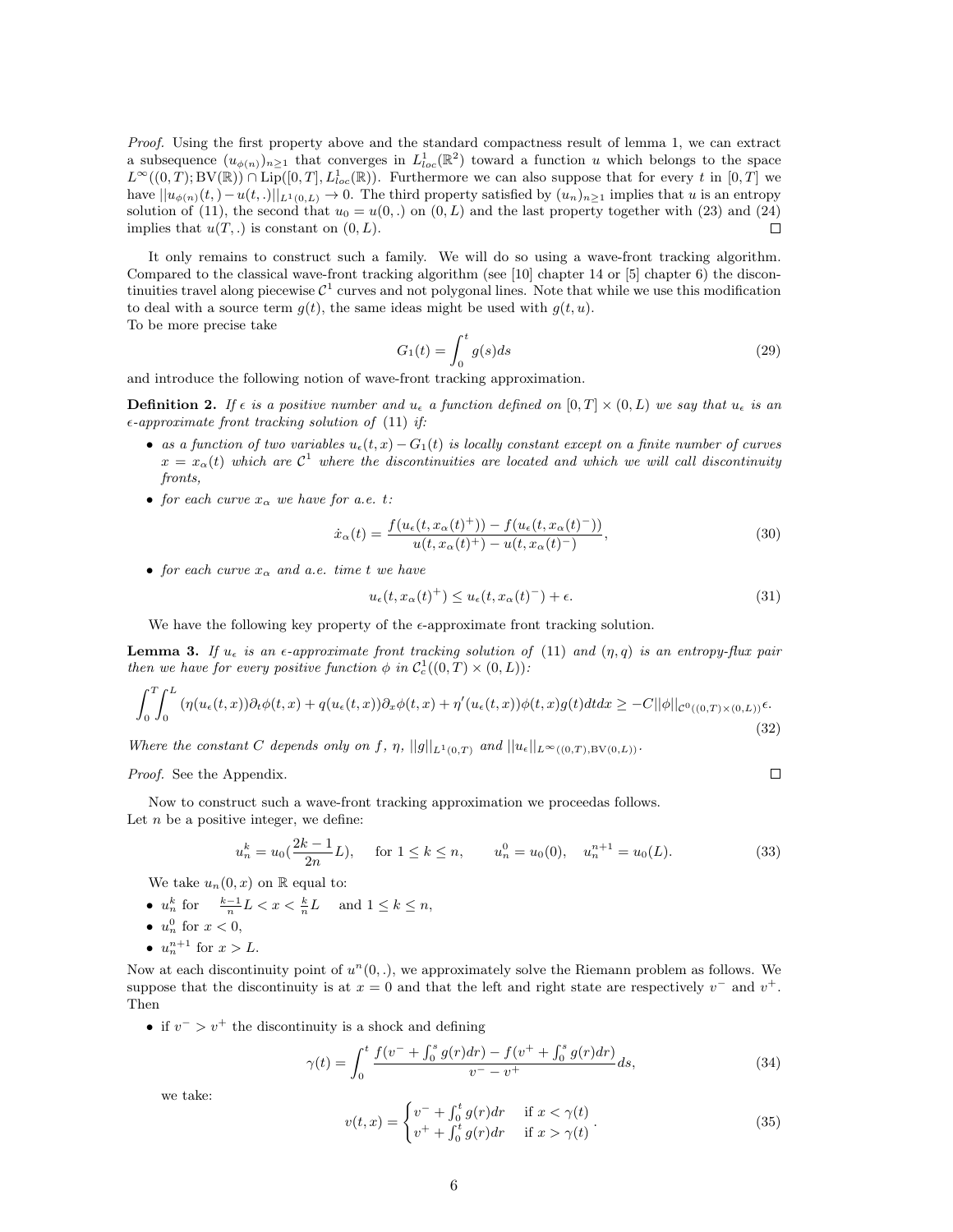Proof. Using the first property above and the standard compactness result of lemma 1, we can extract a subsequence  $(u_{\phi(n)})_{n\geq 1}$  that converges in  $L^1_{loc}(\mathbb{R}^2)$  toward a function u which belongs to the space  $L^{\infty}((0,T);BV(\mathbb{R})) \cap \text{Lip}([0,T], L^{1}_{loc}(\mathbb{R}))$ . Furthermore we can also suppose that for every t in  $[0,T]$  we have  $||u_{\phi(n)}(t,)-u(t,.)||_{L^1(0,L)} \to 0$ . The third property satisfied by  $(u_n)_{n\geq 1}$  implies that u is an entropy solution of (11), the second that  $u_0 = u(0, .)$  on  $(0, L)$  and the last property together with (23) and (24)  $\Box$ implies that  $u(T,.)$  is constant on  $(0, L)$ .

It only remains to construct such a family. We will do so using a wave-front tracking algorithm. Compared to the classical wave-front tracking algorithm (see [10] chapter 14 or [5] chapter 6) the discontinuities travel along piecewise  $\mathcal{C}^1$  curves and not polygonal lines. Note that while we use this modification to deal with a source term  $q(t)$ , the same ideas might be used with  $q(t, u)$ . To be more precise take

$$
G_1(t) = \int_0^t g(s)ds\tag{29}
$$

and introduce the following notion of wave-front tracking approximation.

**Definition 2.** If  $\epsilon$  is a positive number and  $u_{\epsilon}$  a function defined on  $[0, T] \times (0, L)$  we say that  $u_{\epsilon}$  is an  $\epsilon$ -approximate front tracking solution of (11) if:

- as a function of two variables  $u_{\epsilon}(t, x) G_1(t)$  is locally constant except on a finite number of curves  $x = x_{\alpha}(t)$  which are  $C^1$  where the discontinuities are located and which we will call discontinuity fronts,
- for each curve  $x_{\alpha}$  we have for a.e. t:

$$
\dot{x}_{\alpha}(t) = \frac{f(u_{\epsilon}(t, x_{\alpha}(t)^{+})) - f(u_{\epsilon}(t, x_{\alpha}(t)^{-}))}{u(t, x_{\alpha}(t)^{+}) - u(t, x_{\alpha}(t)^{-})},
$$
\n(30)

• for each curve  $x_{\alpha}$  and a.e. time t we have

$$
u_{\epsilon}(t, x_{\alpha}(t)^{+}) \le u_{\epsilon}(t, x_{\alpha}(t)^{-}) + \epsilon.
$$
\n(31)

 $\Box$ 

We have the following key property of the  $\epsilon$ -approximate front tracking solution.

**Lemma 3.** If  $u_{\epsilon}$  is an  $\epsilon$ -approximate front tracking solution of (11) and  $(\eta, q)$  is an entropy-flux pair then we have for every positive function  $\phi$  in  $C_c^1((0,T) \times (0,L))$ :

$$
\int_0^T \int_0^L \left( \eta(u_\epsilon(t,x)) \partial_t \phi(t,x) + q(u_\epsilon(t,x)) \partial_x \phi(t,x) + \eta'(u_\epsilon(t,x)) \phi(t,x) g(t) dt dx \geq -C ||\phi||_{\mathcal{C}^0((0,T)\times(0,L))} \epsilon. \tag{32}
$$

Where the constant C depends only on f,  $\eta$ ,  $||g||_{L^1(0,T)}$  and  $||u_{\epsilon}||_{L^{\infty}((0,T),\text{BV}(0,L))}$ .

Proof. See the Appendix.

Now to construct such a wave-front tracking approximation we proceedas follows. Let  $n$  be a positive integer, we define:

$$
u_n^k = u_0(\frac{2k-1}{2n}L), \quad \text{for } 1 \le k \le n, \qquad u_n^0 = u_0(0), \quad u_n^{n+1} = u_0(L). \tag{33}
$$

We take  $u_n(0, x)$  on  $\mathbb R$  equal to:

- $u_n^k$  for  $\frac{k-1}{n}L < x < \frac{k}{n}L$  and  $1 \le k \le n$ ,
- $u_n^0$  for  $x < 0$ ,
- $u_n^{n+1}$  for  $x > L$ .

Now at each discontinuity point of  $u^n(0,.)$ , we approximately solve the Riemann problem as follows. We suppose that the discontinuity is at  $x = 0$  and that the left and right state are respectively  $v^-$  and  $v^+$ . Then

• if  $v^{-} > v^{+}$  the discontinuity is a shock and defining

$$
\gamma(t) = \int_0^t \frac{f(v^- + \int_0^s g(r) dr) - f(v^+ + \int_0^s g(r) dr)}{v^- - v^+} ds,
$$
\n(34)

we take:

$$
v(t,x) = \begin{cases} v^- + \int_0^t g(r) dr & \text{if } x < \gamma(t) \\ v^+ + \int_0^t g(r) dr & \text{if } x > \gamma(t) \end{cases} \tag{35}
$$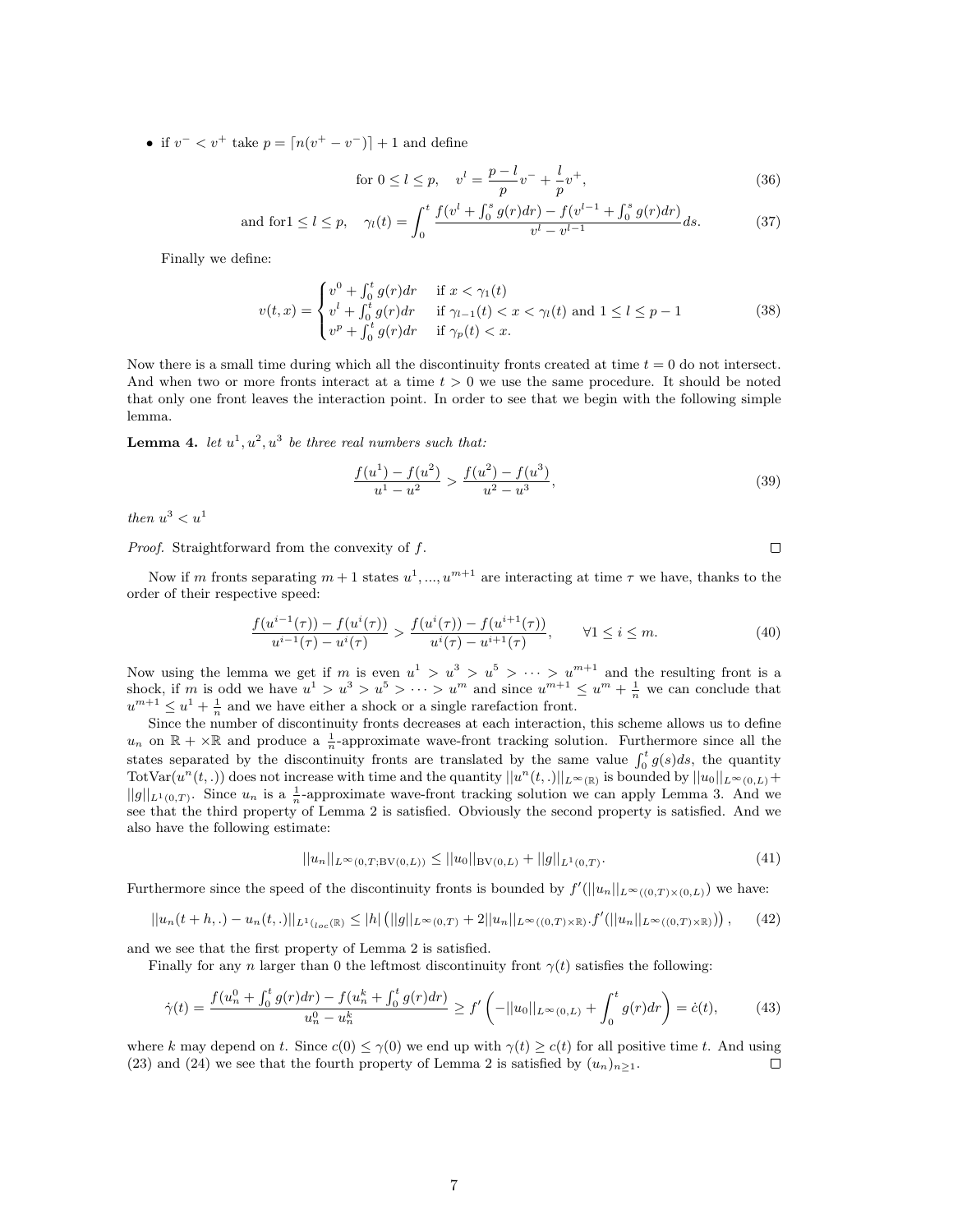• if  $v^- < v^+$  take  $p = \lfloor n(v^+ - v^-) \rfloor + 1$  and define

for 
$$
0 \le l \le p
$$
,  $v^l = \frac{p-l}{p}v^- + \frac{l}{p}v^+$ , (36)

and for 
$$
1 \le l \le p
$$
,  $\gamma_l(t) = \int_0^t \frac{f(v^l + \int_0^s g(r) dr) - f(v^{l-1} + \int_0^s g(r) dr)}{v^l - v^{l-1}} ds.$  (37)

Finally we define:

$$
v(t,x) = \begin{cases} v^0 + \int_0^t g(r) dr & \text{if } x < \gamma_1(t) \\ v^l + \int_0^t g(r) dr & \text{if } \gamma_{l-1}(t) < x < \gamma_l(t) \text{ and } 1 \le l \le p-1 \\ v^p + \int_0^t g(r) dr & \text{if } \gamma_p(t) < x. \end{cases}
$$
(38)

Now there is a small time during which all the discontinuity fronts created at time  $t = 0$  do not intersect. And when two or more fronts interact at a time  $t > 0$  we use the same procedure. It should be noted that only one front leaves the interaction point. In order to see that we begin with the following simple lemma.

**Lemma 4.** let  $u^1, u^2, u^3$  be three real numbers such that:

$$
\frac{f(u^{1}) - f(u^{2})}{u^{1} - u^{2}} > \frac{f(u^{2}) - f(u^{3})}{u^{2} - u^{3}},
$$
\n(39)

then  $u^3 < u^1$ 

Proof. Straightforward from the convexity of f.

 $\Box$ 

Now if m fronts separating  $m+1$  states  $u^1, ..., u^{m+1}$  are interacting at time  $\tau$  we have, thanks to the order of their respective speed:

$$
\frac{f(u^{i-1}(\tau)) - f(u^i(\tau))}{u^{i-1}(\tau) - u^i(\tau)} > \frac{f(u^i(\tau)) - f(u^{i+1}(\tau))}{u^i(\tau) - u^{i+1}(\tau)}, \qquad \forall 1 \le i \le m.
$$
\n(40)

Now using the lemma we get if m is even  $u^1 > u^3 > u^5 > \cdots > u^{m+1}$  and the resulting front is a shock, if m is odd we have  $u^1 > u^3 > u^5 > \cdots > u^m$  and since  $u^{m+1} \leq u^m + \frac{1}{n}$  we can conclude that  $u^{m+1} \leq u^1 + \frac{1}{n}$  and we have either a shock or a single rarefaction front.

Since the number of discontinuity fronts decreases at each interaction, this scheme allows us to define  $u_n$  on  $\mathbb{R} + \times \mathbb{R}$  and produce a  $\frac{1}{n}$ -approximate wave-front tracking solution. Furthermore since all the states separated by the discontinuity fronts are translated by the same value  $\int_0^t g(s)ds$ , the quantity TotVar $(u^n(t,.)$  does not increase with time and the quantity  $||u^n(t,.)||_{L^\infty(\mathbb{R})}$  is bounded by  $||u_0||_{L^\infty(0,L)} +$  $||g||_{L^1(0,T)}$ . Since  $u_n$  is a  $\frac{1}{n}$ -approximate wave-front tracking solution we can apply Lemma 3. And we see that the third property of Lemma 2 is satisfied. Obviously the second property is satisfied. And we also have the following estimate:

$$
||u_n||_{L^{\infty}(0,T;BV(0,L))} \le ||u_0||_{BV(0,L)} + ||g||_{L^1(0,T)}.
$$
\n(41)

Furthermore since the speed of the discontinuity fronts is bounded by  $f'(||u_n||_{L^{\infty}((0,T)\times(0,L)})$  we have:

$$
||u_n(t+h,.) - u_n(t,.)||_{L^1(l_{loc}(\mathbb{R})} \le |h| \left( ||g||_{L^{\infty}(0,T)} + 2||u_n||_{L^{\infty}((0,T)\times\mathbb{R})} \cdot f'(||u_n||_{L^{\infty}((0,T)\times\mathbb{R})}) \right), \tag{42}
$$

and we see that the first property of Lemma 2 is satisfied.

Finally for any n larger than 0 the leftmost discontinuity front  $\gamma(t)$  satisfies the following:

$$
\dot{\gamma}(t) = \frac{f(u_n^0 + \int_0^t g(r) dr) - f(u_n^k + \int_0^t g(r) dr)}{u_n^0 - u_n^k} \ge f'\left(-||u_0||_{L^\infty(0,L)} + \int_0^t g(r) dr\right) = \dot{c}(t),\tag{43}
$$

where k may depend on t. Since  $c(0) \leq \gamma(0)$  we end up with  $\gamma(t) \geq c(t)$  for all positive time t. And using (23) and (24) we see that the fourth property of Lemma 2 is satisfied by  $(u_n)_{n>1}$ .  $\Box$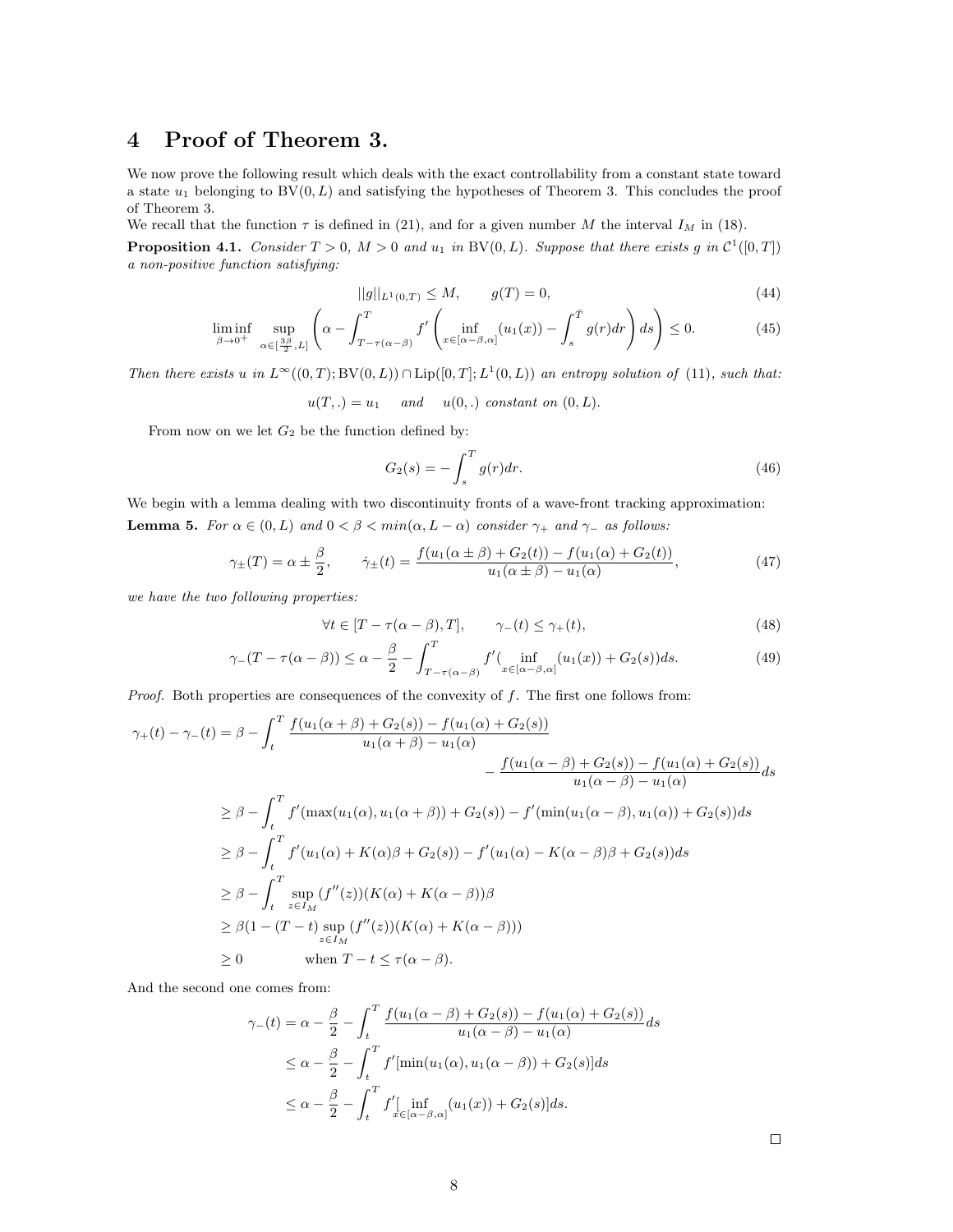## 4 Proof of Theorem 3.

We now prove the following result which deals with the exact controllability from a constant state toward a state  $u_1$  belonging to  $BV(0, L)$  and satisfying the hypotheses of Theorem 3. This concludes the proof of Theorem 3.

We recall that the function  $\tau$  is defined in (21), and for a given number M the interval  $I_M$  in (18).

**Proposition 4.1.** Consider  $T > 0$ ,  $M > 0$  and  $u_1$  in BV(0, L). Suppose that there exists g in  $\mathcal{C}^1([0,T])$ a non-positive function satisfying:

$$
||g||_{L^{1}(0,T)} \leq M, \qquad g(T) = 0,
$$
\n(44)

$$
\liminf_{\beta \to 0^+} \sup_{\alpha \in \left[\frac{3\beta}{2}, L\right]} \left( \alpha - \int_{T - \tau(\alpha - \beta)}^T f'\left(\inf_{x \in \left[\alpha - \beta, \alpha\right]} (u_1(x)) - \int_s^T g(r) dr\right) ds \right) \le 0. \tag{45}
$$

Then there exists u in  $L^{\infty}((0,T);BV(0,L)) \cap Lip([0,T];L^1(0,L))$  an entropy solution of (11), such that:

 $u(T,.) = u_1$  and  $u(0,.)$  constant on  $(0,L)$ .

From now on we let  $G_2$  be the function defined by:

$$
G_2(s) = -\int_s^T g(r) dr.
$$
 (46)

We begin with a lemma dealing with two discontinuity fronts of a wave-front tracking approximation: **Lemma 5.** For  $\alpha \in (0, L)$  and  $0 < \beta < min(\alpha, L - \alpha)$  consider  $\gamma_+$  and  $\gamma_-$  as follows:

$$
\gamma_{\pm}(T) = \alpha \pm \frac{\beta}{2}, \qquad \dot{\gamma}_{\pm}(t) = \frac{f(u_1(\alpha \pm \beta) + G_2(t)) - f(u_1(\alpha) + G_2(t))}{u_1(\alpha \pm \beta) - u_1(\alpha)}, \tag{47}
$$

we have the two following properties:

$$
\forall t \in [T - \tau(\alpha - \beta), T], \qquad \gamma_{-}(t) \le \gamma_{+}(t), \tag{48}
$$

$$
\gamma_{-}(T-\tau(\alpha-\beta)) \leq \alpha - \frac{\beta}{2} - \int_{T-\tau(\alpha-\beta)}^{T} f'(\inf_{x \in [\alpha-\beta,\alpha]}(u_1(x)) + G_2(s))ds.
$$
\n(49)

*Proof.* Both properties are consequences of the convexity of  $f$ . The first one follows from:

$$
\gamma_{+}(t) - \gamma_{-}(t) = \beta - \int_{t}^{T} \frac{f(u_{1}(\alpha + \beta) + G_{2}(s)) - f(u_{1}(\alpha) + G_{2}(s))}{u_{1}(\alpha + \beta) - u_{1}(\alpha)} - \frac{f(u_{1}(\alpha - \beta) + G_{2}(s)) - f(u_{1}(\alpha) + G_{2}(s))}{u_{1}(\alpha - \beta) - u_{1}(\alpha)} ds
$$
  
\n
$$
\geq \beta - \int_{t}^{T} f'(max(u_{1}(\alpha), u_{1}(\alpha + \beta)) + G_{2}(s)) - f'(min(u_{1}(\alpha - \beta), u_{1}(\alpha)) + G_{2}(s)) ds
$$
  
\n
$$
\geq \beta - \int_{t}^{T} f'(u_{1}(\alpha) + K(\alpha)\beta + G_{2}(s)) - f'(u_{1}(\alpha) - K(\alpha - \beta)\beta + G_{2}(s)) ds
$$
  
\n
$$
\geq \beta - \int_{t}^{T} \sup_{z \in I_{M}} (f''(z))(K(\alpha) + K(\alpha - \beta)) \beta
$$
  
\n
$$
\geq \beta (1 - (T - t) \sup_{z \in I_{M}} (f''(z))(K(\alpha) + K(\alpha - \beta)))
$$
  
\n
$$
\geq 0 \qquad \text{when } T - t \leq \tau(\alpha - \beta).
$$

And the second one comes from:

$$
\gamma_{-}(t) = \alpha - \frac{\beta}{2} - \int_{t}^{T} \frac{f(u_{1}(\alpha - \beta) + G_{2}(s)) - f(u_{1}(\alpha) + G_{2}(s))}{u_{1}(\alpha - \beta) - u_{1}(\alpha)} ds
$$
  

$$
\leq \alpha - \frac{\beta}{2} - \int_{t}^{T} f'[\min(u_{1}(\alpha), u_{1}(\alpha - \beta)) + G_{2}(s)] ds
$$
  

$$
\leq \alpha - \frac{\beta}{2} - \int_{t}^{T} f'[\inf_{x \in [\alpha - \beta, \alpha]} (u_{1}(x)) + G_{2}(s)] ds.
$$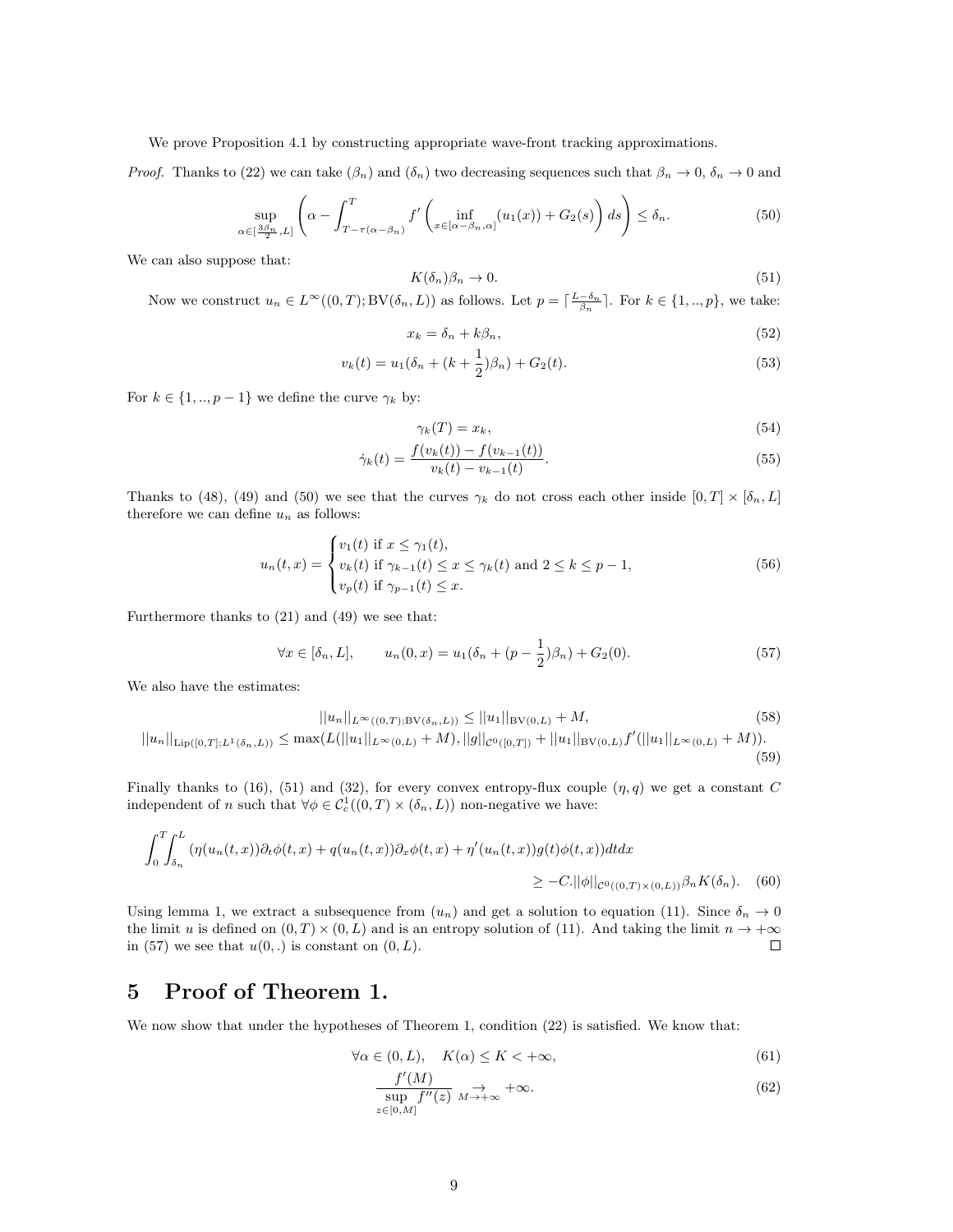We prove Proposition 4.1 by constructing appropriate wave-front tracking approximations.

*Proof.* Thanks to (22) we can take  $(\beta_n)$  and  $(\delta_n)$  two decreasing sequences such that  $\beta_n \to 0$ ,  $\delta_n \to 0$  and

$$
\sup_{\alpha \in \left[\frac{3\beta_n}{2}, L\right]} \left( \alpha - \int_{T - \tau(\alpha - \beta_n)}^T f'\left(\inf_{x \in \left[\alpha - \beta_n, \alpha\right]} (u_1(x)) + G_2(s) \right) ds \right) \le \delta_n. \tag{50}
$$

We can also suppose that:

$$
K(\delta_n)\beta_n \to 0. \tag{51}
$$

Now we construct  $u_n \in L^{\infty}((0,T); BV(\delta_n, L))$  as follows. Let  $p = \lceil \frac{L-\delta_n}{\beta_n} \rceil$ . For  $k \in \{1,..,p\}$ , we take:

$$
x_k = \delta_n + k\beta_n,\tag{52}
$$

$$
v_k(t) = u_1(\delta_n + (k + \frac{1}{2})\beta_n) + G_2(t).
$$
\n(53)

For  $k \in \{1, ..., p-1\}$  we define the curve  $\gamma_k$  by:

$$
\gamma_k(T) = x_k,\tag{54}
$$

$$
\dot{\gamma}_k(t) = \frac{f(v_k(t)) - f(v_{k-1}(t))}{v_k(t) - v_{k-1}(t)}.\tag{55}
$$

Thanks to (48), (49) and (50) we see that the curves  $\gamma_k$  do not cross each other inside  $[0, T] \times [\delta_n, L]$ therefore we can define  $u_n$  as follows:

$$
u_n(t,x) = \begin{cases} v_1(t) & \text{if } x \le \gamma_1(t), \\ v_k(t) & \text{if } \gamma_{k-1}(t) \le x \le \gamma_k(t) \text{ and } 2 \le k \le p-1, \\ v_p(t) & \text{if } \gamma_{p-1}(t) \le x. \end{cases} \tag{56}
$$

Furthermore thanks to (21) and (49) we see that:

$$
\forall x \in [\delta_n, L], \qquad u_n(0, x) = u_1(\delta_n + (p - \frac{1}{2})\beta_n) + G_2(0). \tag{57}
$$

We also have the estimates:

$$
||u_n||_{L^{\infty}((0,T); \mathrm{BV}(\delta_n, L))} \le ||u_1||_{\mathrm{BV}(0,L)} + M,
$$
\n(58)

 $||u_n||_{\text{Lip}([0,T];L^1(\delta_n,L))} \leq \max(L(||u_1||_{L^{\infty}(0,L)}+M), ||g||_{\mathcal{C}^0([0,T])}+||u_1||_{\text{BV}(0,L)}f'(||u_1||_{L^{\infty}(0,L)}+M)).$ (59)

Finally thanks to (16), (51) and (32), for every convex entropy-flux couple  $(\eta, q)$  we get a constant C independent of n such that  $\forall \phi \in C_c^1((0,T) \times (\delta_n,L))$  non-negative we have:

$$
\int_0^T \int_{\delta_n}^L \left( \eta(u_n(t,x)) \partial_t \phi(t,x) + q(u_n(t,x)) \partial_x \phi(t,x) + \eta'(u_n(t,x)) g(t) \phi(t,x) \right) dt dx
$$
  
\$\geq -C. ||\phi||\_{C^0((0,T)\times(0,L))} \beta\_n K(\delta\_n). \quad (60)\$

Using lemma 1, we extract a subsequence from  $(u_n)$  and get a solution to equation (11). Since  $\delta_n \to 0$ the limit u is defined on  $(0, T) \times (0, L)$  and is an entropy solution of (11). And taking the limit  $n \to +\infty$  $\Box$ in (57) we see that  $u(0,.)$  is constant on  $(0, L)$ .

### 5 Proof of Theorem 1.

We now show that under the hypotheses of Theorem 1, condition (22) is satisfied. We know that:

$$
\forall \alpha \in (0, L), \quad K(\alpha) \le K < +\infty,
$$
\n(61)

$$
\frac{f'(M)}{\sup_{z\in[0,M]}f''(z)} \underset{M \to +\infty}{\to} +\infty. \tag{62}
$$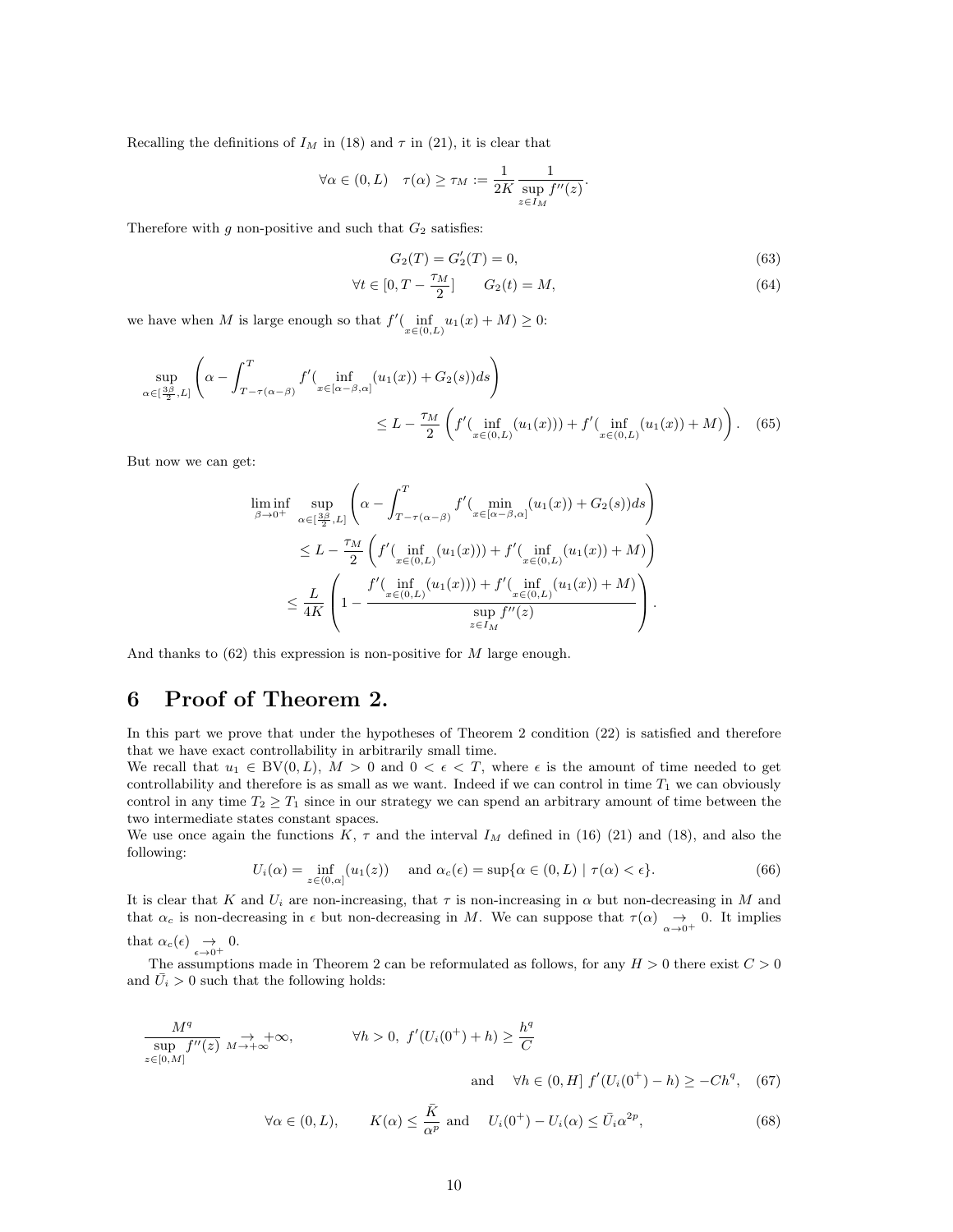Recalling the definitions of  $I_M$  in (18) and  $\tau$  in (21), it is clear that

$$
\forall \alpha \in (0, L) \quad \tau(\alpha) \ge \tau_M := \frac{1}{2K} \frac{1}{\sup_{z \in I_M} f''(z)}.
$$

Therefore with g non-positive and such that  $G_2$  satisfies:

$$
G_2(T) = G_2'(T) = 0,\t\t(63)
$$

$$
\forall t \in [0, T - \frac{\tau_M}{2}] \qquad G_2(t) = M,\tag{64}
$$

we have when M is large enough so that  $f'(\inf_{x \in (0,L)} u_1(x) + M) \geq 0$ :

$$
\sup_{\alpha \in \left[\frac{3\beta}{2}, L\right]} \left( \alpha - \int_{T - \tau(\alpha - \beta)}^{T} f'(\inf_{x \in [\alpha - \beta, \alpha]} (u_1(x)) + G_2(s)) ds \right)
$$
  

$$
\leq L - \frac{\tau_M}{2} \left( f'(\inf_{x \in (0, L)} (u_1(x))) + f'(\inf_{x \in (0, L)} (u_1(x)) + M) \right). \tag{65}
$$

But now we can get:

$$
\liminf_{\beta \to 0^+} \sup_{\alpha \in \left[\frac{3\beta}{2}, L\right]} \left( \alpha - \int_{T - \tau(\alpha - \beta)}^T f'(\min_{x \in [\alpha - \beta, \alpha]} (u_1(x)) + G_2(s)) ds \right)
$$
\n
$$
\leq L - \frac{\tau_M}{2} \left( f'(\inf_{x \in (0, L)} (u_1(x))) + f'(\inf_{x \in (0, L)} (u_1(x)) + M) \right)
$$
\n
$$
\leq \frac{L}{4K} \left( 1 - \frac{f'(\inf_{x \in (0, L)} (u_1(x))) + f'(\inf_{x \in (0, L)} (u_1(x)) + M)}{\sup_{x \in I_M} f''(z)} \right).
$$

And thanks to  $(62)$  this expression is non-positive for M large enough.

## 6 Proof of Theorem 2.

In this part we prove that under the hypotheses of Theorem 2 condition (22) is satisfied and therefore that we have exact controllability in arbitrarily small time.

We recall that  $u_1 \in BV(0, L)$ ,  $M > 0$  and  $0 < \epsilon < T$ , where  $\epsilon$  is the amount of time needed to get controllability and therefore is as small as we want. Indeed if we can control in time  $T_1$  we can obviously control in any time  $T_2 \geq T_1$  since in our strategy we can spend an arbitrary amount of time between the two intermediate states constant spaces.

We use once again the functions K,  $\tau$  and the interval  $I_M$  defined in (16) (21) and (18), and also the following:

$$
U_i(\alpha) = \inf_{z \in (0,\alpha]} (u_1(z)) \quad \text{and } \alpha_c(\epsilon) = \sup \{ \alpha \in (0,L) \mid \tau(\alpha) < \epsilon \}. \tag{66}
$$

It is clear that K and  $U_i$  are non-increasing, that  $\tau$  is non-increasing in  $\alpha$  but non-decreasing in M and that  $\alpha_c$  is non-decreasing in  $\epsilon$  but non-decreasing in M. We can suppose that  $\tau(\alpha) \rightarrow 0$ . It implies

that  $\alpha_c(\epsilon) \rightarrow 0.$ <br> $\epsilon \rightarrow 0^+$ 

The assumptions made in Theorem 2 can be reformulated as follows, for any  $H > 0$  there exist  $C > 0$ and  $U_i > 0$  such that the following holds:

$$
\frac{M^{q}}{\sup_{z \in [0,M]} f''(z)} \underset{M \to +\infty}{\to} +\infty, \qquad \forall h > 0, \ f'(U_{i}(0^{+}) + h) \ge \frac{h^{q}}{C}
$$
\n
$$
\text{and} \quad \forall h \in (0,H] \ f'(U_{i}(0^{+}) - h) \ge -Ch^{q}, \quad (67)
$$

$$
\forall \alpha \in (0, L), \qquad K(\alpha) \le \frac{\bar{K}}{\alpha^p} \text{ and } U_i(0^+) - U_i(\alpha) \le \bar{U}_i \alpha^{2p}, \tag{68}
$$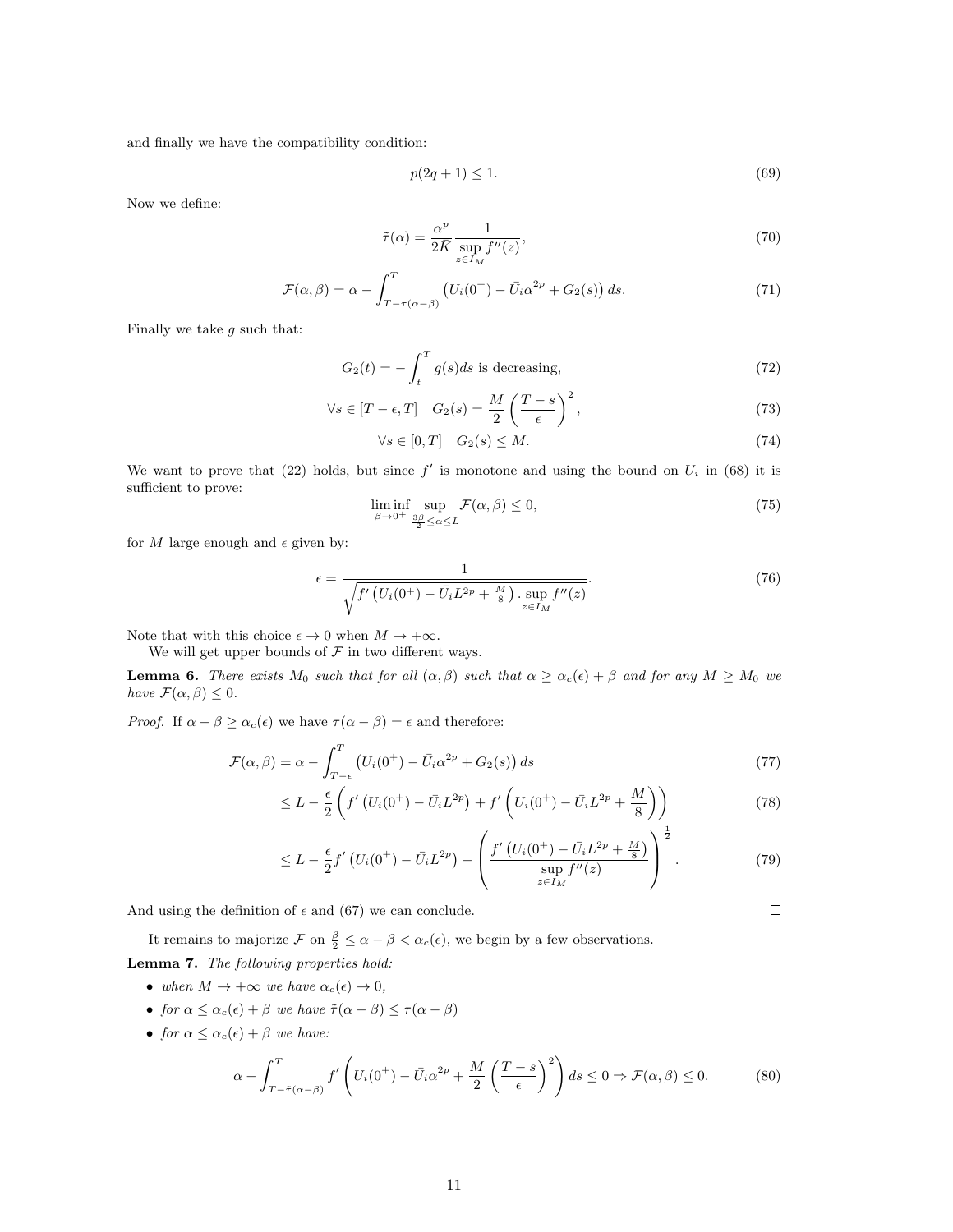and finally we have the compatibility condition:

$$
p(2q+1) \le 1. \tag{69}
$$

Now we define:

$$
\tilde{\tau}(\alpha) = \frac{\alpha^p}{2\bar{K}} \frac{1}{\sup_{z \in I_M} f''(z)},\tag{70}
$$

$$
\mathcal{F}(\alpha,\beta) = \alpha - \int_{T-\tau(\alpha-\beta)}^{T} \left( U_i(0^+) - \bar{U}_i \alpha^{2p} + G_2(s) \right) ds. \tag{71}
$$

Finally we take  $g$  such that:

$$
G_2(t) = -\int_t^T g(s)ds
$$
 is decreasing, (72)

$$
\forall s \in [T - \epsilon, T] \quad G_2(s) = \frac{M}{2} \left( \frac{T - s}{\epsilon} \right)^2,\tag{73}
$$

$$
\forall s \in [0, T] \quad G_2(s) \le M. \tag{74}
$$

We want to prove that (22) holds, but since  $f'$  is monotone and using the bound on  $U_i$  in (68) it is sufficient to prove:

$$
\liminf_{\beta \to 0^+} \sup_{\frac{3\beta}{2} \le \alpha \le L} \mathcal{F}(\alpha, \beta) \le 0,\tag{75}
$$

for M large enough and  $\epsilon$  given by:

$$
\epsilon = \frac{1}{\sqrt{f'\left(U_i(0^+) - \bar{U}_i L^{2p} + \frac{M}{8}\right) \cdot \sup_{z \in I_M} f''(z)}}.
$$
\n(76)

Note that with this choice  $\epsilon \to 0$  when  $M \to +\infty$ .

We will get upper bounds of  $\mathcal F$  in two different ways.

**Lemma 6.** There exists  $M_0$  such that for all  $(\alpha, \beta)$  such that  $\alpha \geq \alpha_c(\epsilon) + \beta$  and for any  $M \geq M_0$  we have  $\mathcal{F}(\alpha,\beta) \leq 0$ .

*Proof.* If  $\alpha - \beta \ge \alpha_c(\epsilon)$  we have  $\tau(\alpha - \beta) = \epsilon$  and therefore:

$$
\mathcal{F}(\alpha,\beta) = \alpha - \int_{T-\epsilon}^{T} \left( U_i(0^+) - \bar{U}_i \alpha^{2p} + G_2(s) \right) ds \tag{77}
$$

$$
\leq L - \frac{\epsilon}{2} \left( f' \left( U_i(0^+) - \bar{U}_i L^{2p} \right) + f' \left( U_i(0^+) - \bar{U}_i L^{2p} + \frac{M}{8} \right) \right) \tag{78}
$$

$$
\leq L - \frac{\epsilon}{2} f' \left( U_i(0^+) - \bar{U}_i L^{2p} \right) - \left( \frac{f' \left( U_i(0^+) - \bar{U}_i L^{2p} + \frac{M}{8} \right)}{\sup_{z \in I_M} f''(z)} \right)^{\frac{1}{2}}.
$$
\n(79)

And using the definition of  $\epsilon$  and (67) we can conclude.

It remains to majorize  $\mathcal F$  on  $\frac{\beta}{2} \leq \alpha - \beta < \alpha_c(\epsilon)$ , we begin by a few observations. Lemma 7. The following properties hold:

- when  $M \to +\infty$  we have  $\alpha_c(\epsilon) \to 0$ ,
- for  $\alpha \leq \alpha_c(\epsilon) + \beta$  we have  $\tilde{\tau}(\alpha \beta) \leq \tau(\alpha \beta)$
- for  $\alpha \leq \alpha_c(\epsilon) + \beta$  we have:

$$
\alpha - \int_{T-\tilde{\tau}(\alpha-\beta)}^{T} f' \left( U_i(0^+) - \bar{U}_i \alpha^{2p} + \frac{M}{2} \left( \frac{T-s}{\epsilon} \right)^2 \right) ds \le 0 \Rightarrow \mathcal{F}(\alpha, \beta) \le 0. \tag{80}
$$

 $\Box$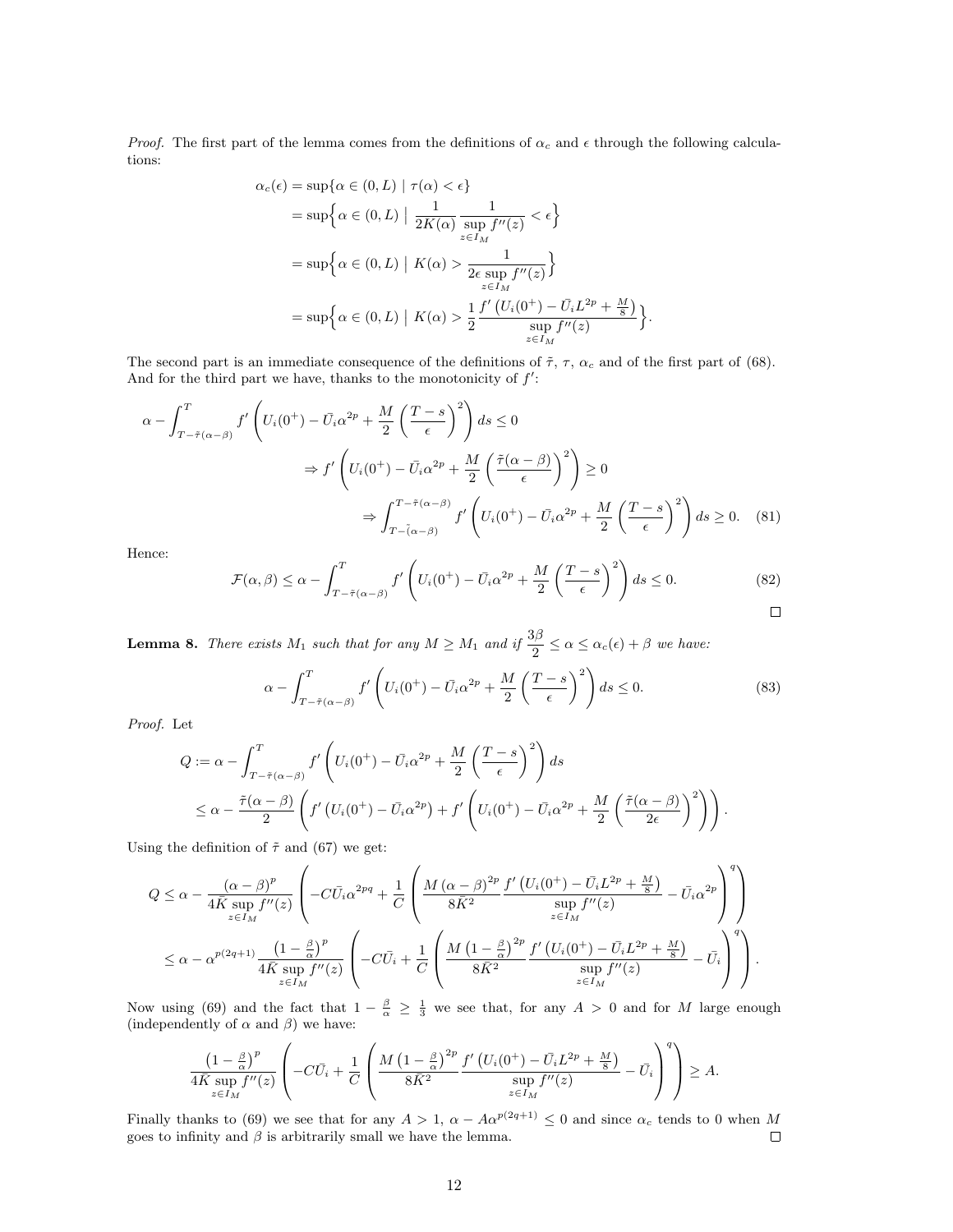*Proof.* The first part of the lemma comes from the definitions of  $\alpha_c$  and  $\epsilon$  through the following calculations:

$$
\alpha_c(\epsilon) = \sup \{ \alpha \in (0, L) \mid \tau(\alpha) < \epsilon \}
$$
\n
$$
= \sup \{ \alpha \in (0, L) \mid \frac{1}{2K(\alpha)} \frac{1}{\sup f''(z)} < \epsilon \}
$$
\n
$$
= \sup \{ \alpha \in (0, L) \mid K(\alpha) > \frac{1}{2\epsilon \sup f''(z)} \}
$$
\n
$$
= \sup \{ \alpha \in (0, L) \mid K(\alpha) > \frac{1}{2\epsilon \sup f''(z)} \}
$$
\n
$$
= \sup \{ \alpha \in (0, L) \mid K(\alpha) > \frac{1}{2} \frac{f'(U_i(0^+) - \bar{U_i}L^{2p} + \frac{M}{8})}{\sup f''(z)} \}
$$

The second part is an immediate consequence of the definitions of  $\tilde{\tau}$ ,  $\tau$ ,  $\alpha_c$  and of the first part of (68). And for the third part we have, thanks to the monotonicity of  $f'$ :

$$
\alpha - \int_{T-\tilde{\tau}(\alpha-\beta)}^{T} f' \left( U_i(0^+) - \bar{U}_i \alpha^{2p} + \frac{M}{2} \left( \frac{T-s}{\epsilon} \right)^2 \right) ds \le 0
$$
  

$$
\Rightarrow f' \left( U_i(0^+) - \bar{U}_i \alpha^{2p} + \frac{M}{2} \left( \frac{\tilde{\tau}(\alpha-\beta)}{\epsilon} \right)^2 \right) \ge 0
$$
  

$$
\Rightarrow \int_{T-\tilde{\tau}(\alpha-\beta)}^{T-\tilde{\tau}(\alpha-\beta)} f' \left( U_i(0^+) - \bar{U}_i \alpha^{2p} + \frac{M}{2} \left( \frac{T-s}{\epsilon} \right)^2 \right) ds \ge 0. \quad (81)
$$

Hence:

$$
\mathcal{F}(\alpha,\beta) \leq \alpha - \int_{T-\tilde{\tau}(\alpha-\beta)}^{T} f' \left( U_i(0^+) - \bar{U}_i \alpha^{2p} + \frac{M}{2} \left( \frac{T-s}{\epsilon} \right)^2 \right) ds \leq 0.
$$
\n(82)

.

**Lemma 8.** There exists  $M_1$  such that for any  $M \geq M_1$  and if  $\frac{3\beta}{2} \leq \alpha \leq \alpha_c(\epsilon) + \beta$  we have:

$$
\alpha - \int_{T-\tilde{\tau}(\alpha-\beta)}^{T} f' \left( U_i(0^+) - \bar{U}_i \alpha^{2p} + \frac{M}{2} \left( \frac{T-s}{\epsilon} \right)^2 \right) ds \le 0.
$$
 (83)

Proof. Let

$$
Q := \alpha - \int_{T - \tilde{\tau}(\alpha - \beta)}^{T} f' \left( U_i(0^+) - \bar{U}_i \alpha^{2p} + \frac{M}{2} \left( \frac{T - s}{\epsilon} \right)^2 \right) ds
$$
  
 
$$
\leq \alpha - \frac{\tilde{\tau}(\alpha - \beta)}{2} \left( f' \left( U_i(0^+) - \bar{U}_i \alpha^{2p} \right) + f' \left( U_i(0^+) - \bar{U}_i \alpha^{2p} + \frac{M}{2} \left( \frac{\tilde{\tau}(\alpha - \beta)}{2\epsilon} \right)^2 \right) \right).
$$

Using the definition of  $\tilde{\tau}$  and (67) we get:

$$
Q \leq \alpha - \frac{(\alpha - \beta)^p}{4\bar{K} \sup_{z \in I_M} f''(z)} \left( -C\bar{U}_i \alpha^{2pq} + \frac{1}{C} \left( \frac{M\left(\alpha - \beta\right)^{2p}}{8\bar{K}^2} \frac{f'\left(U_i(0^+) - \bar{U}_i L^{2p} + \frac{M}{8}\right)}{\sup_{z \in I_M} f''(z)} - \bar{U}_i \alpha^{2p} \right)^q \right) \n\leq \alpha - \alpha^{p(2q+1)} \frac{\left(1 - \frac{\beta}{\alpha}\right)^p}{4\bar{K} \sup_{z \in I_M} f''(z)} \left( -C\bar{U}_i + \frac{1}{C} \left( \frac{M\left(1 - \frac{\beta}{\alpha}\right)^{2p}}{8\bar{K}^2} \frac{f'\left(U_i(0^+) - \bar{U}_i L^{2p} + \frac{M}{8}\right)}{\sup_{z \in I_M} f''(z)} - \bar{U}_i \right)^q \right).
$$

Now using (69) and the fact that  $1-\frac{\beta}{\alpha} \geq \frac{1}{3}$  we see that, for any  $A > 0$  and for M large enough (independently of  $\alpha$  and  $\beta)$  we have:

$$
\frac{\left(1-\frac{\beta}{\alpha}\right)^p}{4\bar{K}\sup_{z\in I_M}f''(z)}\left(-C\bar{U}_i+\frac{1}{C}\left(\frac{M\left(1-\frac{\beta}{\alpha}\right)^{2p}}{8\bar{K}^2}\frac{f'\left(U_i(0^+)-\bar{U}_iL^{2p}+\frac{M}{8}\right)}{\sup\limits_{z\in I_M}f''(z)}-\bar{U}_i\right)^q\right)\geq A.
$$

Finally thanks to (69) we see that for any  $A > 1$ ,  $\alpha - A\alpha^{p(2q+1)} \leq 0$  and since  $\alpha_c$  tends to 0 when M goes to infinity and  $\beta$  is arbitrarily small we have the lemma.  $\Box$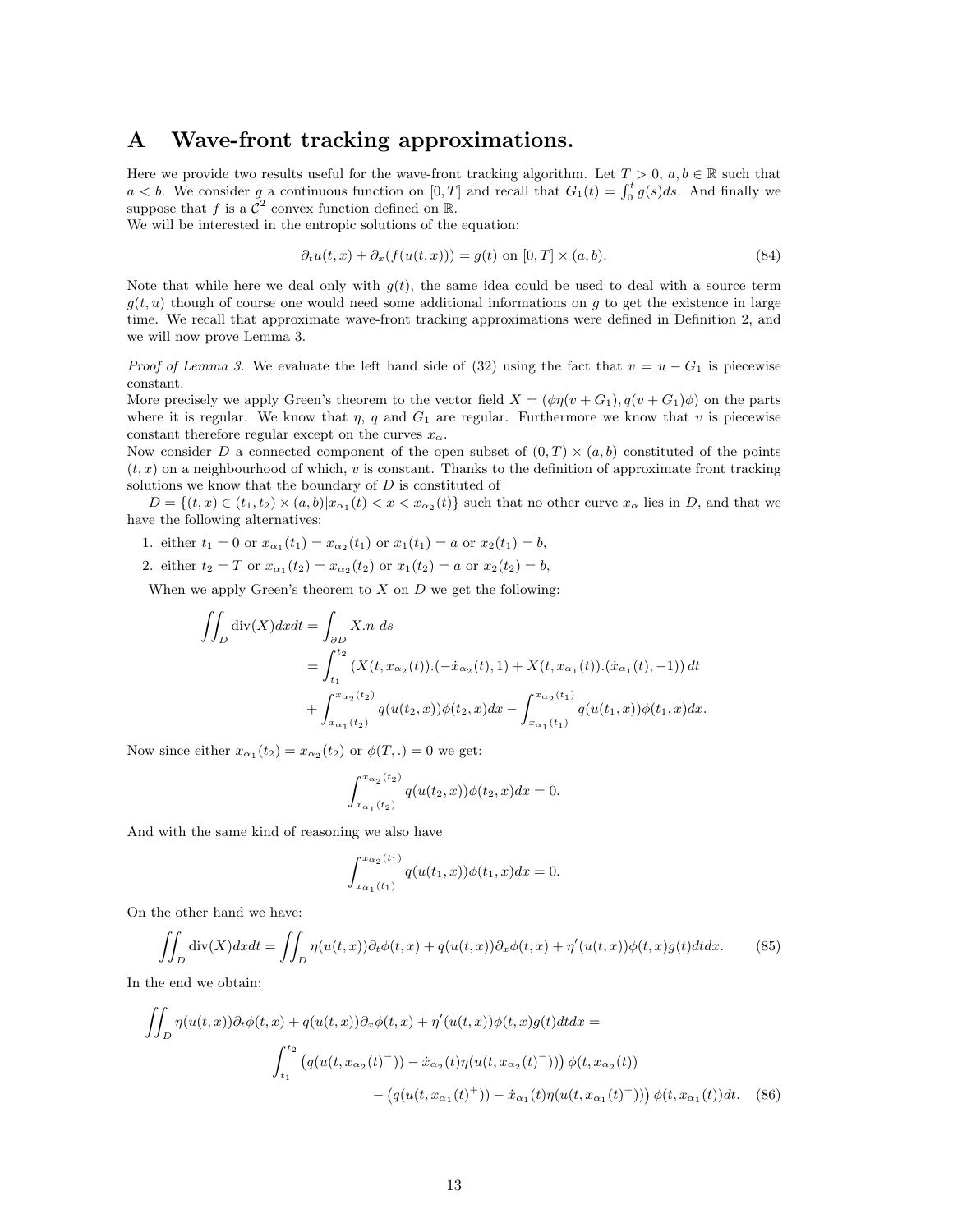### A Wave-front tracking approximations.

Here we provide two results useful for the wave-front tracking algorithm. Let  $T > 0$ ,  $a, b \in \mathbb{R}$  such that  $a < b$ . We consider g a continuous function on [0, T] and recall that  $G_1(t) = \int_0^t g(s)ds$ . And finally we suppose that f is a  $\mathcal{C}^2$  convex function defined on  $\mathbb{R}$ .

We will be interested in the entropic solutions of the equation:

$$
\partial_t u(t, x) + \partial_x (f(u(t, x))) = g(t) \text{ on } [0, T] \times (a, b). \tag{84}
$$

Note that while here we deal only with  $g(t)$ , the same idea could be used to deal with a source term  $g(t, u)$  though of course one would need some additional informations on g to get the existence in large time. We recall that approximate wave-front tracking approximations were defined in Definition 2, and we will now prove Lemma 3.

*Proof of Lemma 3.* We evaluate the left hand side of (32) using the fact that  $v = u - G_1$  is piecewise constant.

More precisely we apply Green's theorem to the vector field  $X = (\phi \eta(v + G_1), q(v + G_1)\phi)$  on the parts where it is regular. We know that  $\eta$ , q and  $G_1$  are regular. Furthermore we know that v is piecewise constant therefore regular except on the curves  $x_{\alpha}$ .

Now consider D a connected component of the open subset of  $(0,T) \times (a,b)$  constituted of the points  $(t, x)$  on a neighbourhood of which, v is constant. Thanks to the definition of approximate front tracking solutions we know that the boundary of  $D$  is constituted of

 $D = \{(t, x) \in (t_1, t_2) \times (a, b) | x_{\alpha_1}(t) < x < x_{\alpha_2}(t) \}$  such that no other curve  $x_{\alpha}$  lies in D, and that we have the following alternatives:

- 1. either  $t_1 = 0$  or  $x_{\alpha_1}(t_1) = x_{\alpha_2}(t_1)$  or  $x_1(t_1) = a$  or  $x_2(t_1) = b$ ,
- 2. either  $t_2 = T$  or  $x_{\alpha_1}(t_2) = x_{\alpha_2}(t_2)$  or  $x_1(t_2) = a$  or  $x_2(t_2) = b$ ,

When we apply Green's theorem to  $X$  on  $D$  we get the following:

$$
\iint_D \text{div}(X) dx dt = \int_{\partial D} X.n \, ds
$$
  
= 
$$
\int_{t_1}^{t_2} (X(t, x_{\alpha_2}(t)) \cdot (-\dot{x}_{\alpha_2}(t), 1) + X(t, x_{\alpha_1}(t)) \cdot (\dot{x}_{\alpha_1}(t), -1)) dt
$$
  
+ 
$$
\int_{x_{\alpha_1}(t_2)}^{x_{\alpha_2}(t_2)} q(u(t_2, x)) \phi(t_2, x) dx - \int_{x_{\alpha_1}(t_1)}^{x_{\alpha_2}(t_1)} q(u(t_1, x)) \phi(t_1, x) dx.
$$

Now since either  $x_{\alpha_1}(t_2) = x_{\alpha_2}(t_2)$  or  $\phi(T,.) = 0$  we get:

$$
\int_{x_{\alpha_1}(t_2)}^{x_{\alpha_2}(t_2)} q(u(t_2, x))\phi(t_2, x)dx = 0.
$$

And with the same kind of reasoning we also have

$$
\int_{x_{\alpha_1}(t_1)}^{x_{\alpha_2}(t_1)} q(u(t_1,x))\phi(t_1,x)dx = 0.
$$

On the other hand we have:

$$
\iint_D \operatorname{div}(X) dx dt = \iint_D \eta(u(t,x)) \partial_t \phi(t,x) + q(u(t,x)) \partial_x \phi(t,x) + \eta'(u(t,x)) \phi(t,x) g(t) dt dx.
$$
 (85)

In the end we obtain:

$$
\iint_D \eta(u(t,x))\partial_t \phi(t,x) + q(u(t,x))\partial_x \phi(t,x) + \eta'(u(t,x))\phi(t,x)g(t)dtdx =
$$
\n
$$
\int_{t_1}^{t_2} \left( q(u(t,x_{\alpha_2}(t)^-)) - \dot{x}_{\alpha_2}(t)\eta(u(t,x_{\alpha_2}(t)^-)) \right) \phi(t,x_{\alpha_2}(t)) - \left( q(u(t,x_{\alpha_1}(t)^+)) - \dot{x}_{\alpha_1}(t)\eta(u(t,x_{\alpha_1}(t)^+)) \right) \phi(t,x_{\alpha_1}(t))dt. \tag{86}
$$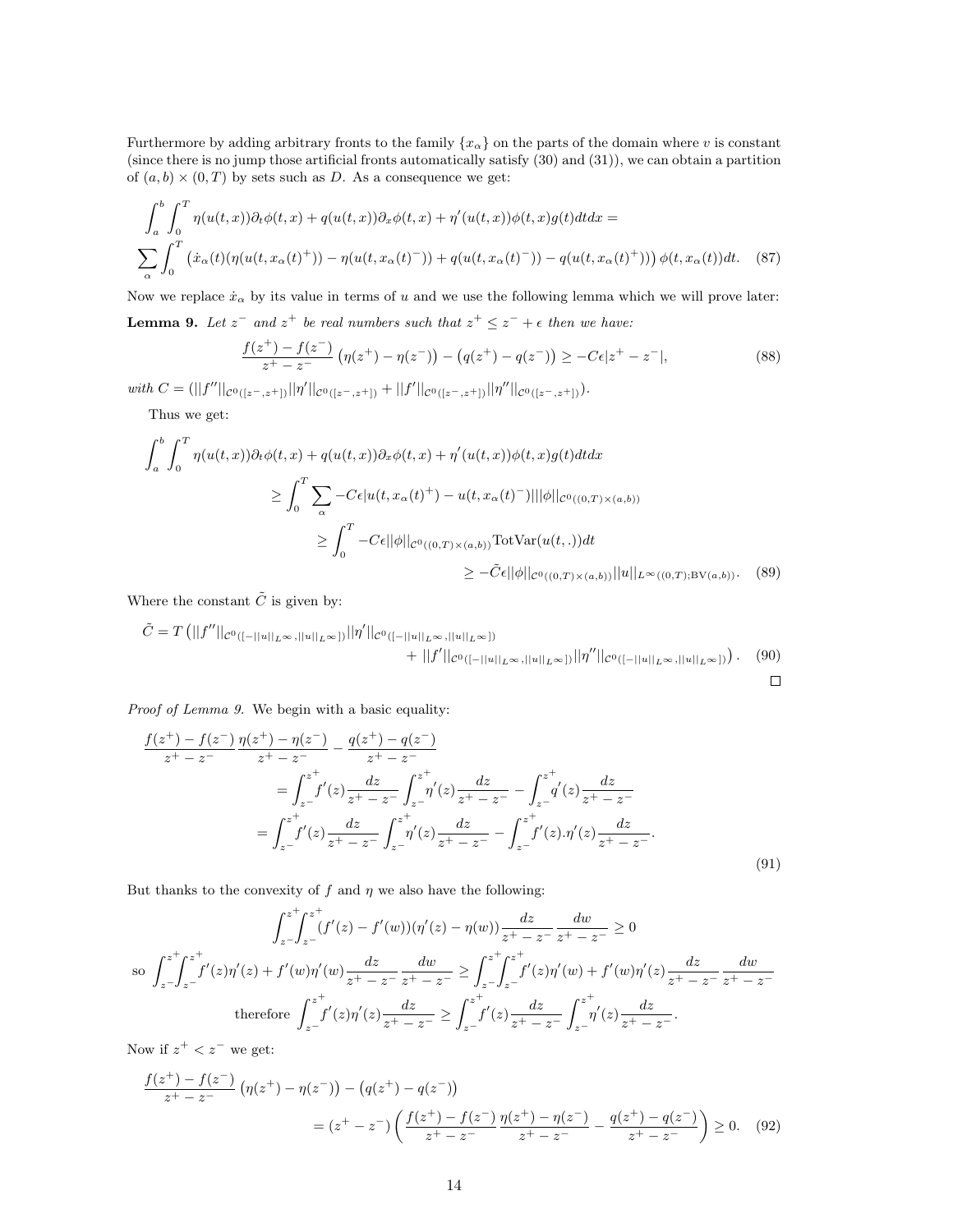Furthermore by adding arbitrary fronts to the family  $\{x_\alpha\}$  on the parts of the domain where v is constant (since there is no jump those artificial fronts automatically satisfy (30) and (31)), we can obtain a partition of  $(a, b) \times (0, T)$  by sets such as D. As a consequence we get:

$$
\int_{a}^{b} \int_{0}^{T} \eta(u(t,x)) \partial_t \phi(t,x) + q(u(t,x)) \partial_x \phi(t,x) + \eta'(u(t,x)) \phi(t,x) g(t) dt dx =
$$
\n
$$
\sum_{\alpha} \int_{0}^{T} \left( \dot{x}_{\alpha}(t) (\eta(u(t,x_{\alpha}(t)^{+})) - \eta(u(t,x_{\alpha}(t)^{-})) + q(u(t,x_{\alpha}(t)^{-})) - q(u(t,x_{\alpha}(t)^{+})) \right) \phi(t,x_{\alpha}(t)) dt. \tag{87}
$$

Now we replace  $\dot{x}_{\alpha}$  by its value in terms of u and we use the following lemma which we will prove later:

**Lemma 9.** Let  $z^-$  and  $z^+$  be real numbers such that  $z^+ \leq z^- + \epsilon$  then we have:

$$
\frac{f(z^{+}) - f(z^{-})}{z^{+} - z^{-}} \left( \eta(z^{+}) - \eta(z^{-}) \right) - \left( q(z^{+}) - q(z^{-}) \right) \ge -C\epsilon |z^{+} - z^{-}|,\tag{88}
$$

with  $C = (||f''||_{C^{0}([z^-,z^+])}||\eta'||_{C^{0}([z^-,z^+])} + ||f'||_{C^{0}([z^-,z^+])}||\eta''||_{C^{0}([z^-,z^+])}).$ 

Thus we get:

$$
\int_{a}^{b} \int_{0}^{T} \eta(u(t,x)) \partial_{t} \phi(t,x) + q(u(t,x)) \partial_{x} \phi(t,x) + \eta'(u(t,x)) \phi(t,x) g(t) dt dx
$$
\n
$$
\geq \int_{0}^{T} \sum_{\alpha} -C\epsilon |u(t,x_{\alpha}(t)^{+}) - u(t,x_{\alpha}(t)^{-})| ||\phi||_{C^{0}((0,T)\times(a,b))}
$$
\n
$$
\geq \int_{0}^{T} -C\epsilon ||\phi||_{C^{0}((0,T)\times(a,b))} \text{TotVar}(u(t,.)) dt
$$
\n
$$
\geq -\tilde{C}\epsilon ||\phi||_{C^{0}((0,T)\times(a,b))} ||u||_{L^{\infty}((0,T); \text{BV}(a,b))}. \quad (89)
$$

Where the constant  $\tilde{C}$  is given by:

$$
\tilde{C} = T \left( ||f''||_{\mathcal{C}^{0}([-||u||_{L^{\infty}},||u||_{L^{\infty}}])} ||\eta'||_{\mathcal{C}^{0}([-||u||_{L^{\infty}},||u||_{L^{\infty}}])} + ||f'||_{\mathcal{C}^{0}([-||u||_{L^{\infty}},||u||_{L^{\infty}}])} ||\eta''||_{\mathcal{C}^{0}([-||u||_{L^{\infty}},||u||_{L^{\infty}}])} \right).
$$
\n(90)

Proof of Lemma 9. We begin with a basic equality:

$$
\frac{f(z^{+}) - f(z^{-})}{z^{+} - z^{-}} \frac{\eta(z^{+}) - \eta(z^{-})}{z^{+} - z^{-}} - \frac{q(z^{+}) - q(z^{-})}{z^{+} - z^{-}}
$$
\n
$$
= \int_{z^{-}}^{z^{+}} f'(z) \frac{dz}{z^{+} - z^{-}} \int_{z^{-}}^{z^{+}} \eta'(z) \frac{dz}{z^{+} - z^{-}} - \int_{z^{-}}^{z^{+}} \eta'(z) \frac{dz}{z^{+} - z^{-}}
$$
\n
$$
= \int_{z^{-}}^{z^{+}} f'(z) \frac{dz}{z^{+} - z^{-}} \int_{z^{-}}^{z^{+}} \eta'(z) \frac{dz}{z^{+} - z^{-}} - \int_{z^{-}}^{z^{+}} f'(z) \cdot \eta'(z) \frac{dz}{z^{+} - z^{-}}.
$$
\n(91)

But thanks to the convexity of  $f$  and  $\eta$  we also have the following:

$$
\int_{z}^{z+} \int_{z-}^{z+} (f'(z) - f'(w)) (\eta'(z) - \eta(w)) \frac{dz}{z^+ - z^-} \frac{dw}{z^+ - z^-} \ge 0
$$
  
so 
$$
\int_{z-}^{z+} \int_{z-}^{z+} f'(z) \eta'(z) + f'(w) \eta'(w) \frac{dz}{z^+ - z^-} \frac{dw}{z^+ - z^-} \ge \int_{z-}^{z+} \int_{z-}^{z+} f'(z) \eta'(w) + f'(w) \eta'(z) \frac{dz}{z^+ - z^-} \frac{dw}{z^+ - z^-}
$$
  
therefore 
$$
\int_{z-}^{z+} f'(z) \eta'(z) \frac{dz}{z^+ - z^-} \ge \int_{z-}^{z+} f'(z) \frac{dz}{z^+ - z^-} \int_{z-}^{z+} \eta'(z) \frac{dz}{z^+ - z^-}.
$$

Now if  $z^+ < z^-$  we get:

$$
\frac{f(z^{+}) - f(z^{-})}{z^{+} - z^{-}} \left( \eta(z^{+}) - \eta(z^{-}) \right) - \left( q(z^{+}) - q(z^{-}) \right)
$$
\n
$$
= (z^{+} - z^{-}) \left( \frac{f(z^{+}) - f(z^{-})}{z^{+} - z^{-}} \frac{\eta(z^{+}) - \eta(z^{-})}{z^{+} - z^{-}} - \frac{q(z^{+}) - q(z^{-})}{z^{+} - z^{-}} \right) \ge 0. \tag{92}
$$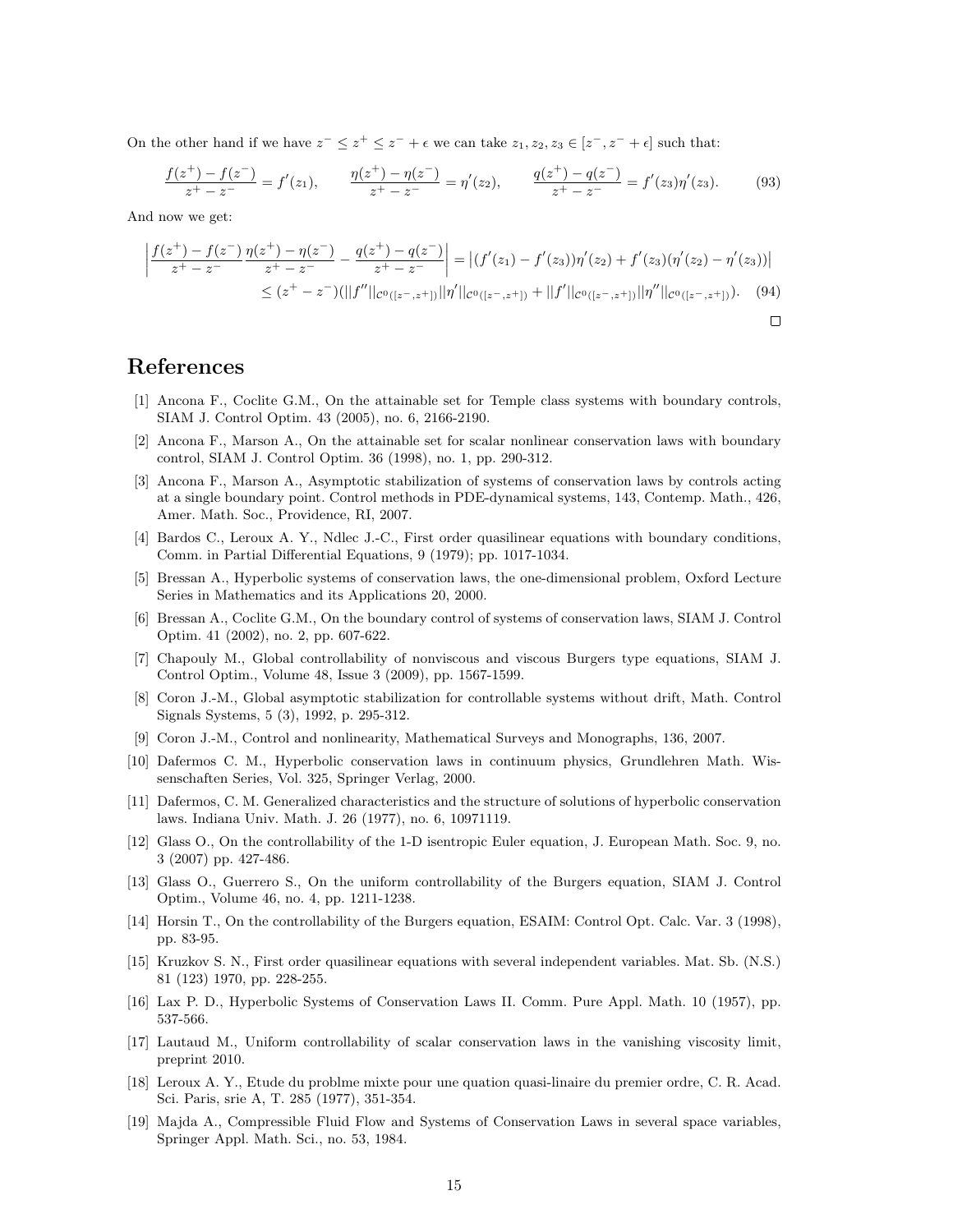On the other hand if we have  $z^- \leq z^+ \leq z^- + \epsilon$  we can take  $z_1, z_2, z_3 \in [z^-, z^- + \epsilon]$  such that:

$$
\frac{f(z^+)-f(z^-)}{z^+-z^-} = f'(z_1), \qquad \frac{\eta(z^+)-\eta(z^-)}{z^+-z^-} = \eta'(z_2), \qquad \frac{q(z^+)-q(z^-)}{z^+-z^-} = f'(z_3)\eta'(z_3). \tag{93}
$$

And now we get:

$$
\left| \frac{f(z^+) - f(z^-)}{z^+ - z^-} \frac{\eta(z^+) - \eta(z^-)}{z^+ - z^-} - \frac{q(z^+) - q(z^-)}{z^+ - z^-} \right| = \left| (f'(z_1) - f'(z_3))\eta'(z_2) + f'(z_3)(\eta'(z_2) - \eta'(z_3)) \right|
$$
  
 
$$
\leq (z^+ - z^-)(||f''||_{C^0([z^-, z^+])} ||\eta'||_{C^0([z^-, z^+])} + ||f'||_{C^0([z^-, z^+])} ||\eta''||_{C^0([z^-, z^+])}). \tag{94}
$$

 $\Box$ 

#### References

- [1] Ancona F., Coclite G.M., On the attainable set for Temple class systems with boundary controls, SIAM J. Control Optim. 43 (2005), no. 6, 2166-2190.
- [2] Ancona F., Marson A., On the attainable set for scalar nonlinear conservation laws with boundary control, SIAM J. Control Optim. 36 (1998), no. 1, pp. 290-312.
- [3] Ancona F., Marson A., Asymptotic stabilization of systems of conservation laws by controls acting at a single boundary point. Control methods in PDE-dynamical systems, 143, Contemp. Math., 426, Amer. Math. Soc., Providence, RI, 2007.
- [4] Bardos C., Leroux A. Y., Ndlec J.-C., First order quasilinear equations with boundary conditions, Comm. in Partial Differential Equations, 9 (1979); pp. 1017-1034.
- [5] Bressan A., Hyperbolic systems of conservation laws, the one-dimensional problem, Oxford Lecture Series in Mathematics and its Applications 20, 2000.
- [6] Bressan A., Coclite G.M., On the boundary control of systems of conservation laws, SIAM J. Control Optim. 41 (2002), no. 2, pp. 607-622.
- [7] Chapouly M., Global controllability of nonviscous and viscous Burgers type equations, SIAM J. Control Optim., Volume 48, Issue 3 (2009), pp. 1567-1599.
- [8] Coron J.-M., Global asymptotic stabilization for controllable systems without drift, Math. Control Signals Systems, 5 (3), 1992, p. 295-312.
- [9] Coron J.-M., Control and nonlinearity, Mathematical Surveys and Monographs, 136, 2007.
- [10] Dafermos C. M., Hyperbolic conservation laws in continuum physics, Grundlehren Math. Wissenschaften Series, Vol. 325, Springer Verlag, 2000.
- [11] Dafermos, C. M. Generalized characteristics and the structure of solutions of hyperbolic conservation laws. Indiana Univ. Math. J. 26 (1977), no. 6, 10971119.
- [12] Glass O., On the controllability of the 1-D isentropic Euler equation, J. European Math. Soc. 9, no. 3 (2007) pp. 427-486.
- [13] Glass O., Guerrero S., On the uniform controllability of the Burgers equation, SIAM J. Control Optim., Volume 46, no. 4, pp. 1211-1238.
- [14] Horsin T., On the controllability of the Burgers equation, ESAIM: Control Opt. Calc. Var. 3 (1998), pp. 83-95.
- [15] Kruzkov S. N., First order quasilinear equations with several independent variables. Mat. Sb. (N.S.) 81 (123) 1970, pp. 228-255.
- [16] Lax P. D., Hyperbolic Systems of Conservation Laws II. Comm. Pure Appl. Math. 10 (1957), pp. 537-566.
- [17] Lautaud M., Uniform controllability of scalar conservation laws in the vanishing viscosity limit, preprint 2010.
- [18] Leroux A. Y., Etude du problme mixte pour une quation quasi-linaire du premier ordre, C. R. Acad. Sci. Paris, srie A, T. 285 (1977), 351-354.
- [19] Majda A., Compressible Fluid Flow and Systems of Conservation Laws in several space variables, Springer Appl. Math. Sci., no. 53, 1984.